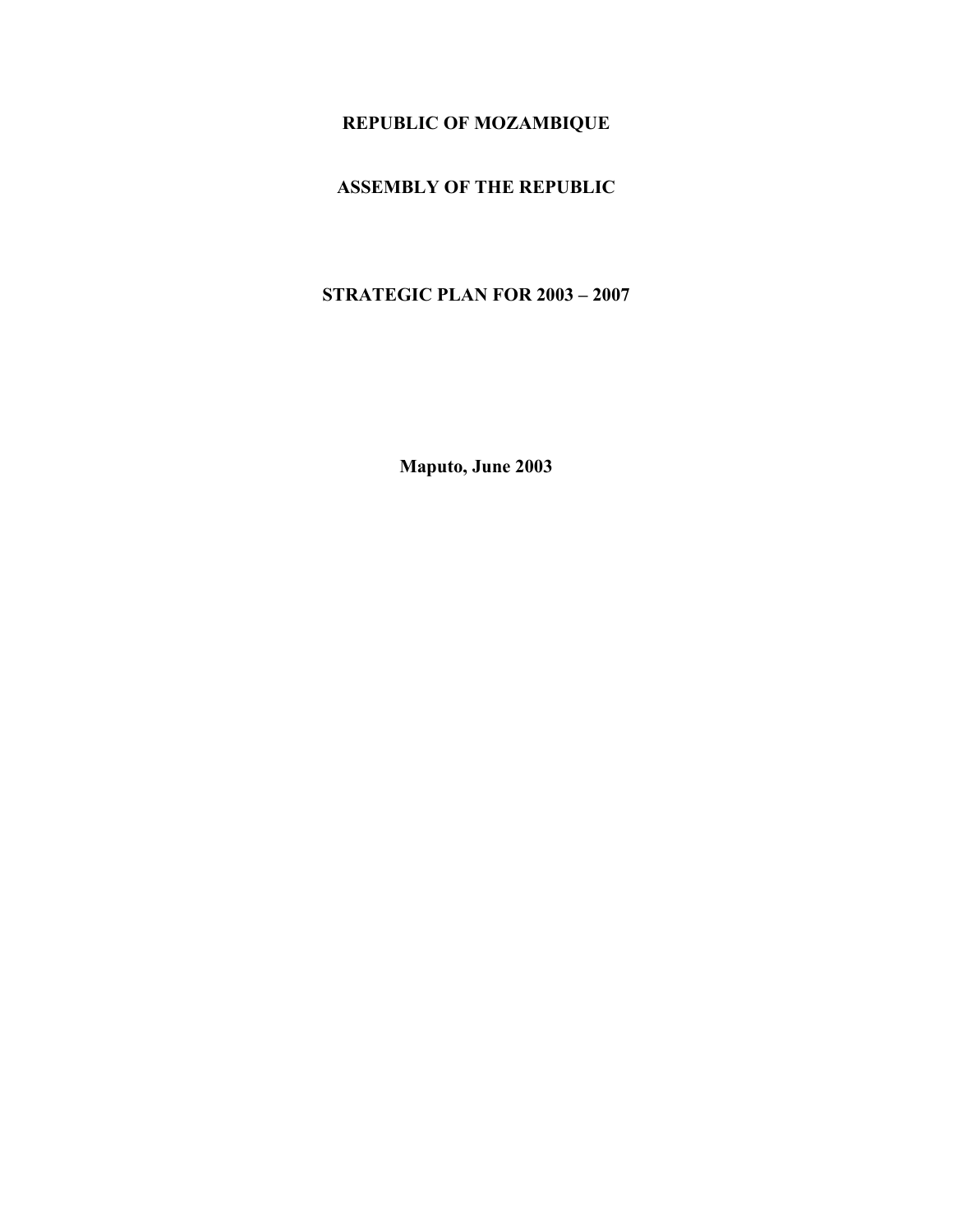# **REPUBLIC OF MOZAMBIQUE**

# **ASSEMBLY OF THE REPUBLIC**

# **STRATEGIC PLAN FOR 2003 – 2007**

**Maputo, June 2003**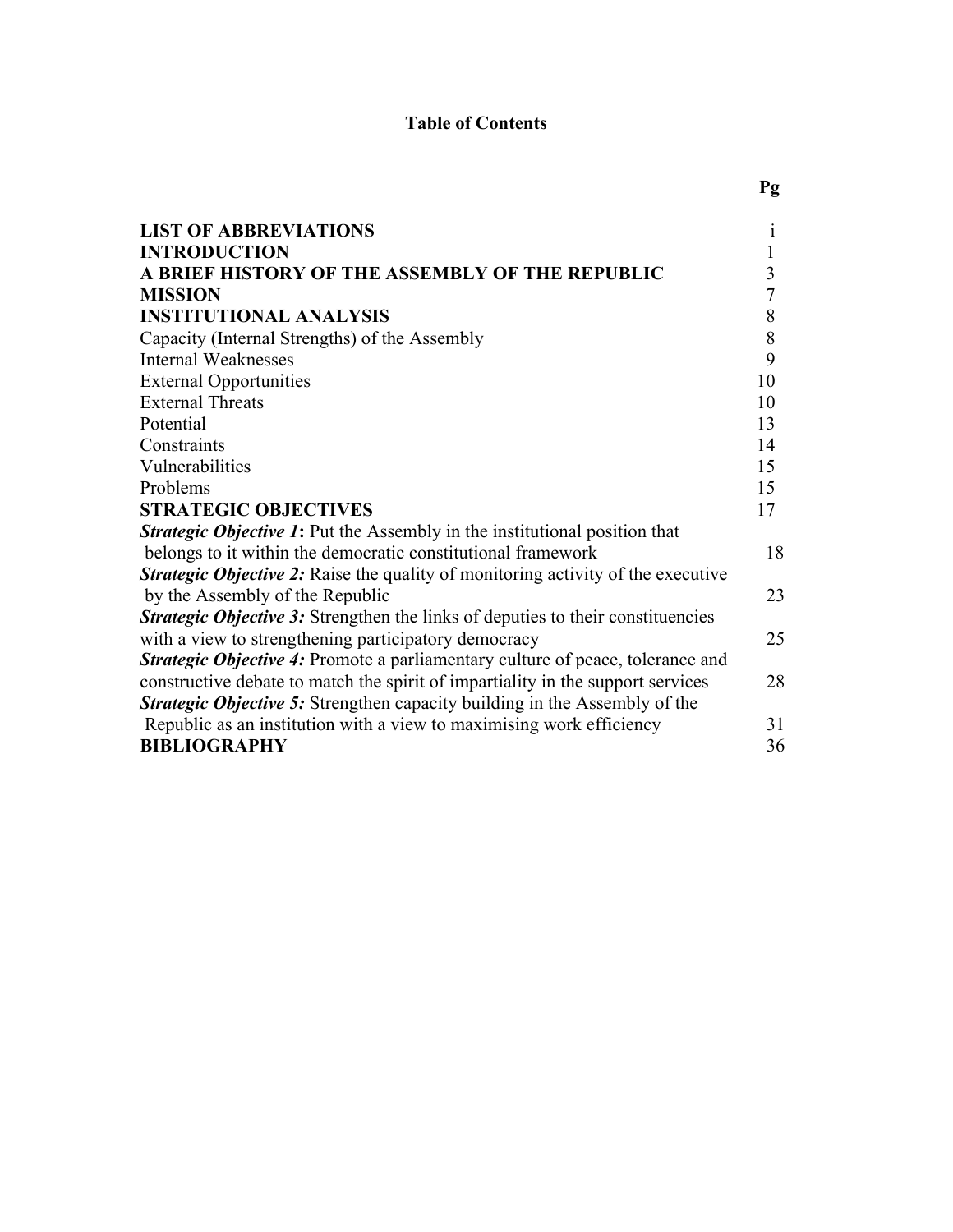# **Table of Contents**

| <b>LIST OF ABBREVIATIONS</b>                                                            | 1  |
|-----------------------------------------------------------------------------------------|----|
| <b>INTRODUCTION</b>                                                                     |    |
| A BRIEF HISTORY OF THE ASSEMBLY OF THE REPUBLIC                                         | 3  |
| <b>MISSION</b>                                                                          | 7  |
| <b>INSTITUTIONAL ANALYSIS</b>                                                           | 8  |
| Capacity (Internal Strengths) of the Assembly                                           | 8  |
| <b>Internal Weaknesses</b>                                                              | 9  |
| <b>External Opportunities</b>                                                           | 10 |
| <b>External Threats</b>                                                                 | 10 |
| Potential                                                                               | 13 |
| Constraints                                                                             | 14 |
| Vulnerabilities                                                                         | 15 |
| Problems                                                                                | 15 |
| <b>STRATEGIC OBJECTIVES</b>                                                             | 17 |
| <b>Strategic Objective 1:</b> Put the Assembly in the institutional position that       |    |
| belongs to it within the democratic constitutional framework                            | 18 |
| <b>Strategic Objective 2:</b> Raise the quality of monitoring activity of the executive |    |
| by the Assembly of the Republic                                                         | 23 |
| <b>Strategic Objective 3:</b> Strengthen the links of deputies to their constituencies  |    |
| with a view to strengthening participatory democracy                                    | 25 |
| <b>Strategic Objective 4:</b> Promote a parliamentary culture of peace, tolerance and   |    |
| constructive debate to match the spirit of impartiality in the support services         | 28 |
| Strategic Objective 5: Strengthen capacity building in the Assembly of the              |    |
| Republic as an institution with a view to maximising work efficiency                    | 31 |
| <b>BIBLIOGRAPHY</b>                                                                     | 36 |

# **Pg**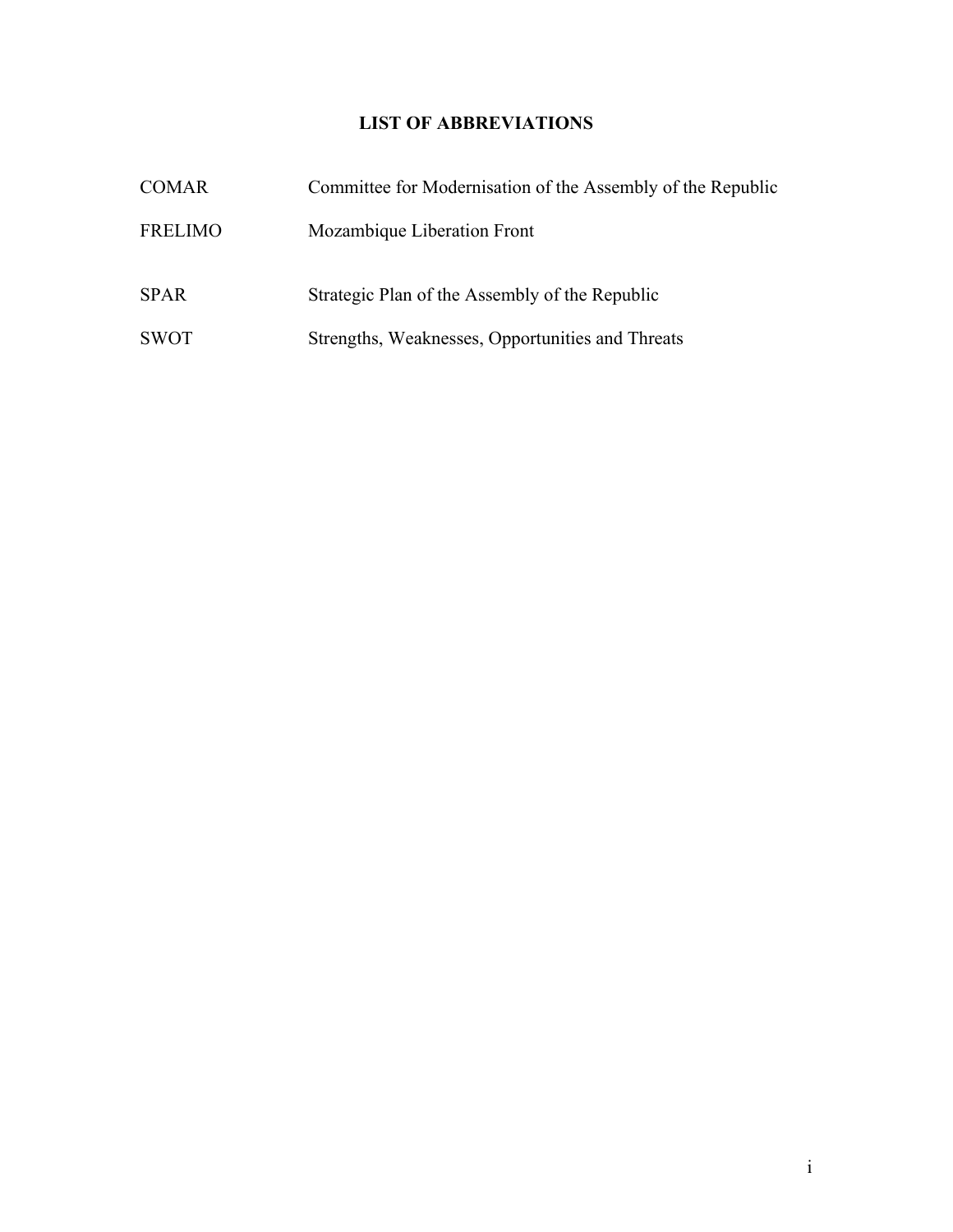# **LIST OF ABBREVIATIONS**

| <b>COMAR</b>   | Committee for Modernisation of the Assembly of the Republic |
|----------------|-------------------------------------------------------------|
| <b>FRELIMO</b> | Mozambique Liberation Front                                 |
| <b>SPAR</b>    | Strategic Plan of the Assembly of the Republic              |
| <b>SWOT</b>    | Strengths, Weaknesses, Opportunities and Threats            |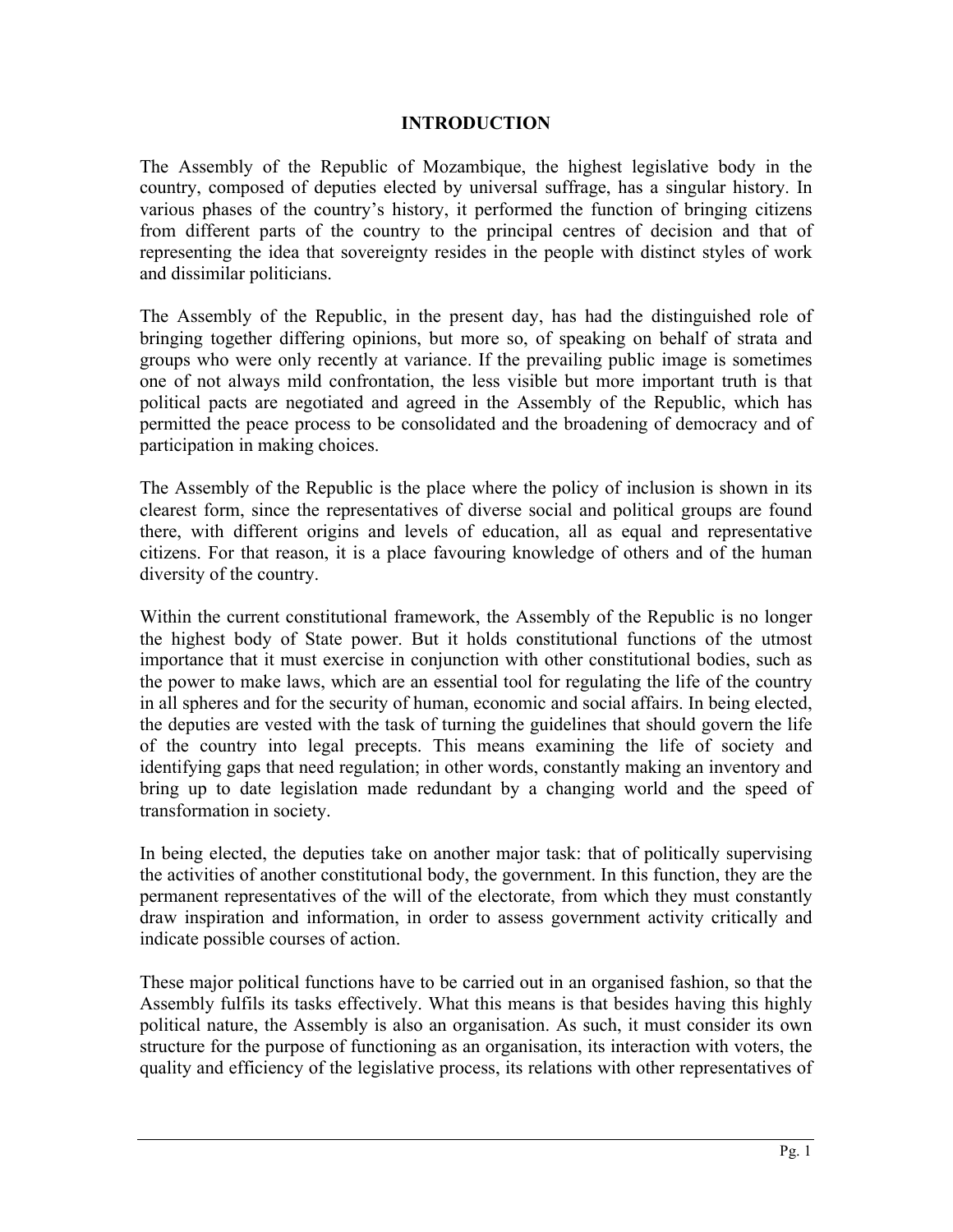### **INTRODUCTION**

The Assembly of the Republic of Mozambique, the highest legislative body in the country, composed of deputies elected by universal suffrage, has a singular history. In various phases of the country's history, it performed the function of bringing citizens from different parts of the country to the principal centres of decision and that of representing the idea that sovereignty resides in the people with distinct styles of work and dissimilar politicians.

The Assembly of the Republic, in the present day, has had the distinguished role of bringing together differing opinions, but more so, of speaking on behalf of strata and groups who were only recently at variance. If the prevailing public image is sometimes one of not always mild confrontation, the less visible but more important truth is that political pacts are negotiated and agreed in the Assembly of the Republic, which has permitted the peace process to be consolidated and the broadening of democracy and of participation in making choices.

The Assembly of the Republic is the place where the policy of inclusion is shown in its clearest form, since the representatives of diverse social and political groups are found there, with different origins and levels of education, all as equal and representative citizens. For that reason, it is a place favouring knowledge of others and of the human diversity of the country.

Within the current constitutional framework, the Assembly of the Republic is no longer the highest body of State power. But it holds constitutional functions of the utmost importance that it must exercise in conjunction with other constitutional bodies, such as the power to make laws, which are an essential tool for regulating the life of the country in all spheres and for the security of human, economic and social affairs. In being elected, the deputies are vested with the task of turning the guidelines that should govern the life of the country into legal precepts. This means examining the life of society and identifying gaps that need regulation; in other words, constantly making an inventory and bring up to date legislation made redundant by a changing world and the speed of transformation in society.

In being elected, the deputies take on another major task: that of politically supervising the activities of another constitutional body, the government. In this function, they are the permanent representatives of the will of the electorate, from which they must constantly draw inspiration and information, in order to assess government activity critically and indicate possible courses of action.

These major political functions have to be carried out in an organised fashion, so that the Assembly fulfils its tasks effectively. What this means is that besides having this highly political nature, the Assembly is also an organisation. As such, it must consider its own structure for the purpose of functioning as an organisation, its interaction with voters, the quality and efficiency of the legislative process, its relations with other representatives of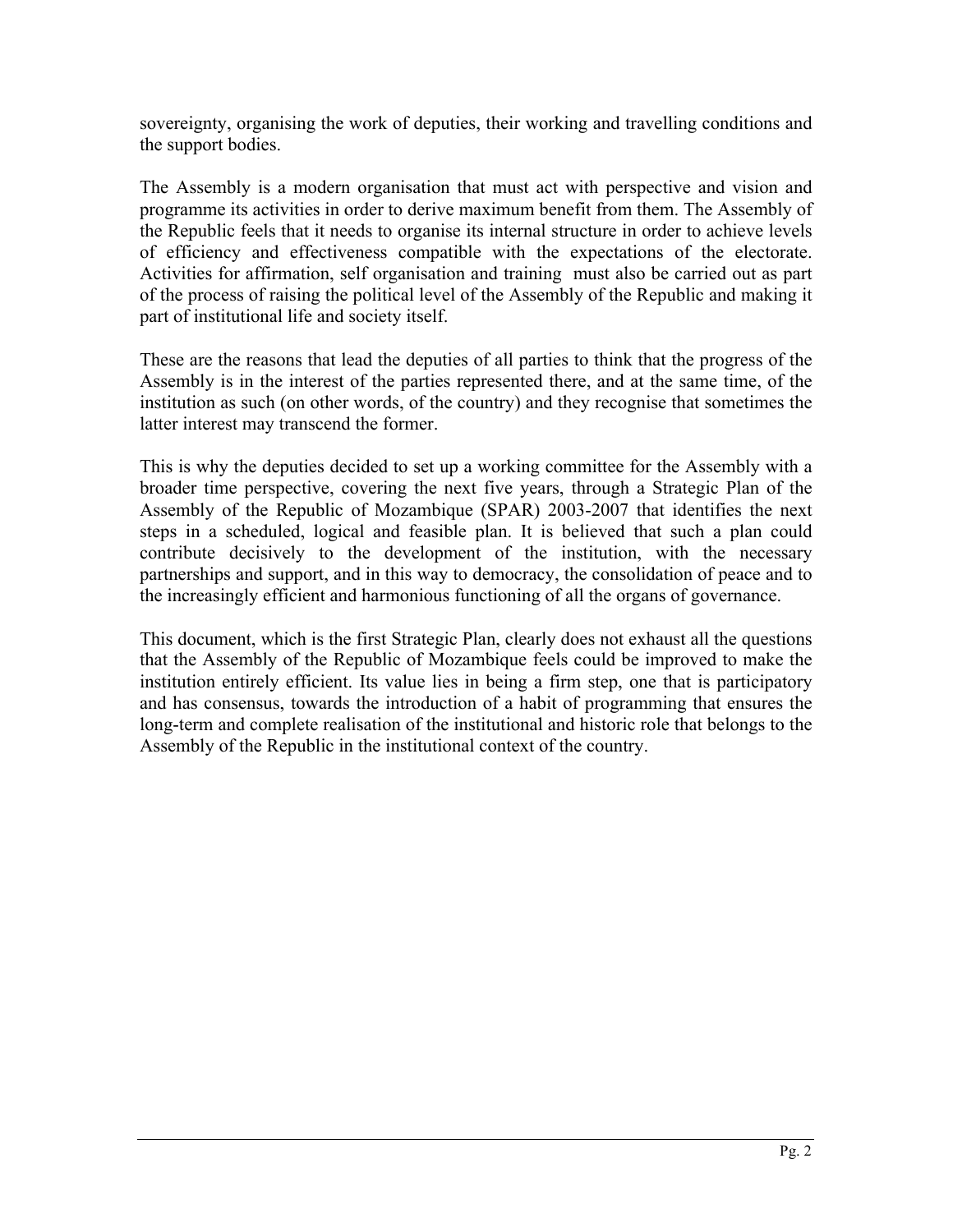sovereignty, organising the work of deputies, their working and travelling conditions and the support bodies.

The Assembly is a modern organisation that must act with perspective and vision and programme its activities in order to derive maximum benefit from them. The Assembly of the Republic feels that it needs to organise its internal structure in order to achieve levels of efficiency and effectiveness compatible with the expectations of the electorate. Activities for affirmation, self organisation and training must also be carried out as part of the process of raising the political level of the Assembly of the Republic and making it part of institutional life and society itself.

These are the reasons that lead the deputies of all parties to think that the progress of the Assembly is in the interest of the parties represented there, and at the same time, of the institution as such (on other words, of the country) and they recognise that sometimes the latter interest may transcend the former.

This is why the deputies decided to set up a working committee for the Assembly with a broader time perspective, covering the next five years, through a Strategic Plan of the Assembly of the Republic of Mozambique (SPAR) 2003-2007 that identifies the next steps in a scheduled, logical and feasible plan. It is believed that such a plan could contribute decisively to the development of the institution, with the necessary partnerships and support, and in this way to democracy, the consolidation of peace and to the increasingly efficient and harmonious functioning of all the organs of governance.

This document, which is the first Strategic Plan, clearly does not exhaust all the questions that the Assembly of the Republic of Mozambique feels could be improved to make the institution entirely efficient. Its value lies in being a firm step, one that is participatory and has consensus, towards the introduction of a habit of programming that ensures the long-term and complete realisation of the institutional and historic role that belongs to the Assembly of the Republic in the institutional context of the country.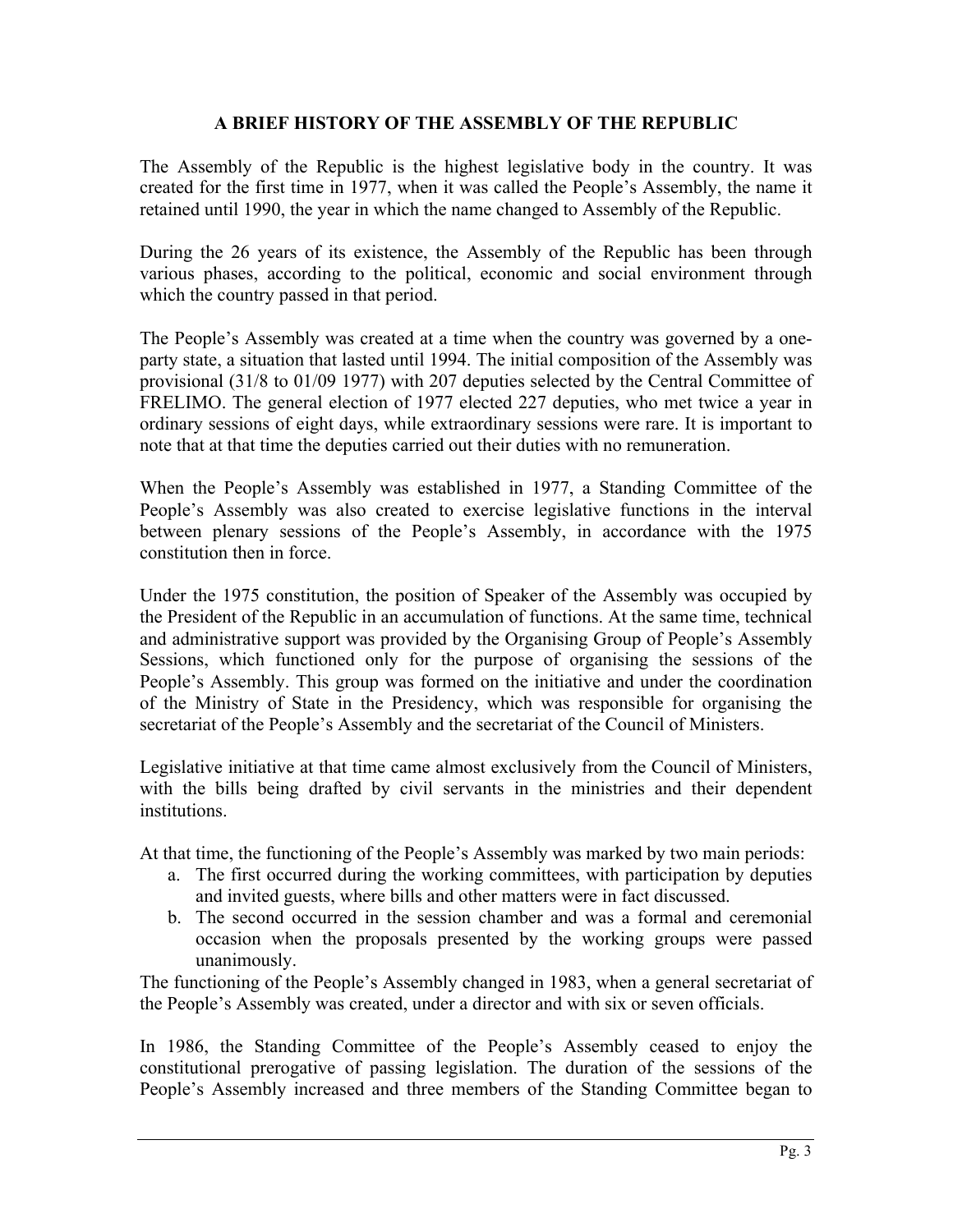### **A BRIEF HISTORY OF THE ASSEMBLY OF THE REPUBLIC**

The Assembly of the Republic is the highest legislative body in the country. It was created for the first time in 1977, when it was called the People's Assembly, the name it retained until 1990, the year in which the name changed to Assembly of the Republic.

During the 26 years of its existence, the Assembly of the Republic has been through various phases, according to the political, economic and social environment through which the country passed in that period.

The People's Assembly was created at a time when the country was governed by a oneparty state, a situation that lasted until 1994. The initial composition of the Assembly was provisional (31/8 to 01/09 1977) with 207 deputies selected by the Central Committee of FRELIMO. The general election of 1977 elected 227 deputies, who met twice a year in ordinary sessions of eight days, while extraordinary sessions were rare. It is important to note that at that time the deputies carried out their duties with no remuneration.

When the People's Assembly was established in 1977, a Standing Committee of the People's Assembly was also created to exercise legislative functions in the interval between plenary sessions of the People's Assembly, in accordance with the 1975 constitution then in force.

Under the 1975 constitution, the position of Speaker of the Assembly was occupied by the President of the Republic in an accumulation of functions. At the same time, technical and administrative support was provided by the Organising Group of People's Assembly Sessions, which functioned only for the purpose of organising the sessions of the People's Assembly. This group was formed on the initiative and under the coordination of the Ministry of State in the Presidency, which was responsible for organising the secretariat of the People's Assembly and the secretariat of the Council of Ministers.

Legislative initiative at that time came almost exclusively from the Council of Ministers, with the bills being drafted by civil servants in the ministries and their dependent institutions.

At that time, the functioning of the People's Assembly was marked by two main periods:

- a. The first occurred during the working committees, with participation by deputies and invited guests, where bills and other matters were in fact discussed.
- b. The second occurred in the session chamber and was a formal and ceremonial occasion when the proposals presented by the working groups were passed unanimously.

The functioning of the People's Assembly changed in 1983, when a general secretariat of the People's Assembly was created, under a director and with six or seven officials.

In 1986, the Standing Committee of the People's Assembly ceased to enjoy the constitutional prerogative of passing legislation. The duration of the sessions of the People's Assembly increased and three members of the Standing Committee began to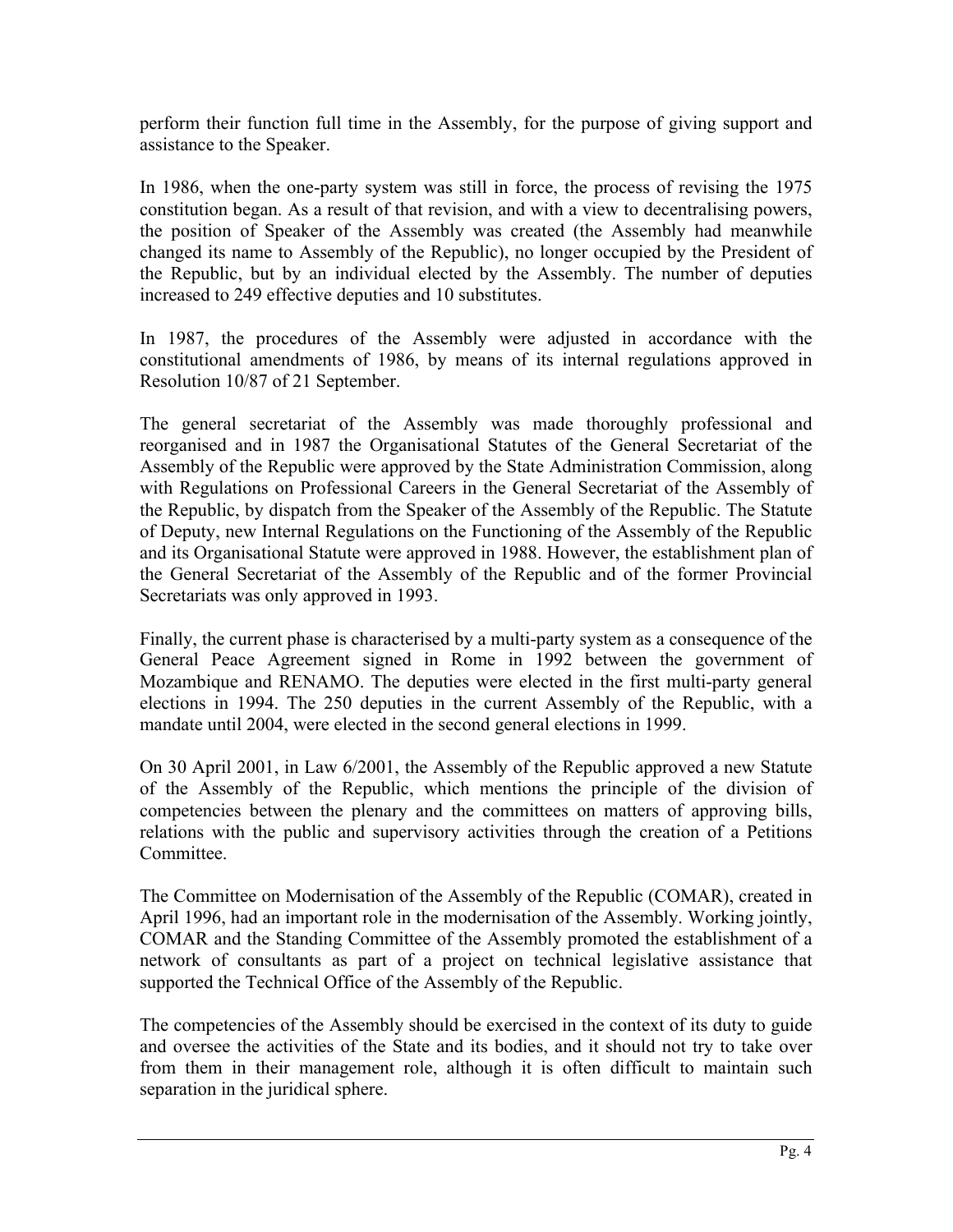perform their function full time in the Assembly, for the purpose of giving support and assistance to the Speaker.

In 1986, when the one-party system was still in force, the process of revising the 1975 constitution began. As a result of that revision, and with a view to decentralising powers, the position of Speaker of the Assembly was created (the Assembly had meanwhile changed its name to Assembly of the Republic), no longer occupied by the President of the Republic, but by an individual elected by the Assembly. The number of deputies increased to 249 effective deputies and 10 substitutes.

In 1987, the procedures of the Assembly were adjusted in accordance with the constitutional amendments of 1986, by means of its internal regulations approved in Resolution 10/87 of 21 September.

The general secretariat of the Assembly was made thoroughly professional and reorganised and in 1987 the Organisational Statutes of the General Secretariat of the Assembly of the Republic were approved by the State Administration Commission, along with Regulations on Professional Careers in the General Secretariat of the Assembly of the Republic, by dispatch from the Speaker of the Assembly of the Republic. The Statute of Deputy, new Internal Regulations on the Functioning of the Assembly of the Republic and its Organisational Statute were approved in 1988. However, the establishment plan of the General Secretariat of the Assembly of the Republic and of the former Provincial Secretariats was only approved in 1993.

Finally, the current phase is characterised by a multi-party system as a consequence of the General Peace Agreement signed in Rome in 1992 between the government of Mozambique and RENAMO. The deputies were elected in the first multi-party general elections in 1994. The 250 deputies in the current Assembly of the Republic, with a mandate until 2004, were elected in the second general elections in 1999.

On 30 April 2001, in Law 6/2001, the Assembly of the Republic approved a new Statute of the Assembly of the Republic, which mentions the principle of the division of competencies between the plenary and the committees on matters of approving bills, relations with the public and supervisory activities through the creation of a Petitions Committee.

The Committee on Modernisation of the Assembly of the Republic (COMAR), created in April 1996, had an important role in the modernisation of the Assembly. Working jointly, COMAR and the Standing Committee of the Assembly promoted the establishment of a network of consultants as part of a project on technical legislative assistance that supported the Technical Office of the Assembly of the Republic.

The competencies of the Assembly should be exercised in the context of its duty to guide and oversee the activities of the State and its bodies, and it should not try to take over from them in their management role, although it is often difficult to maintain such separation in the juridical sphere.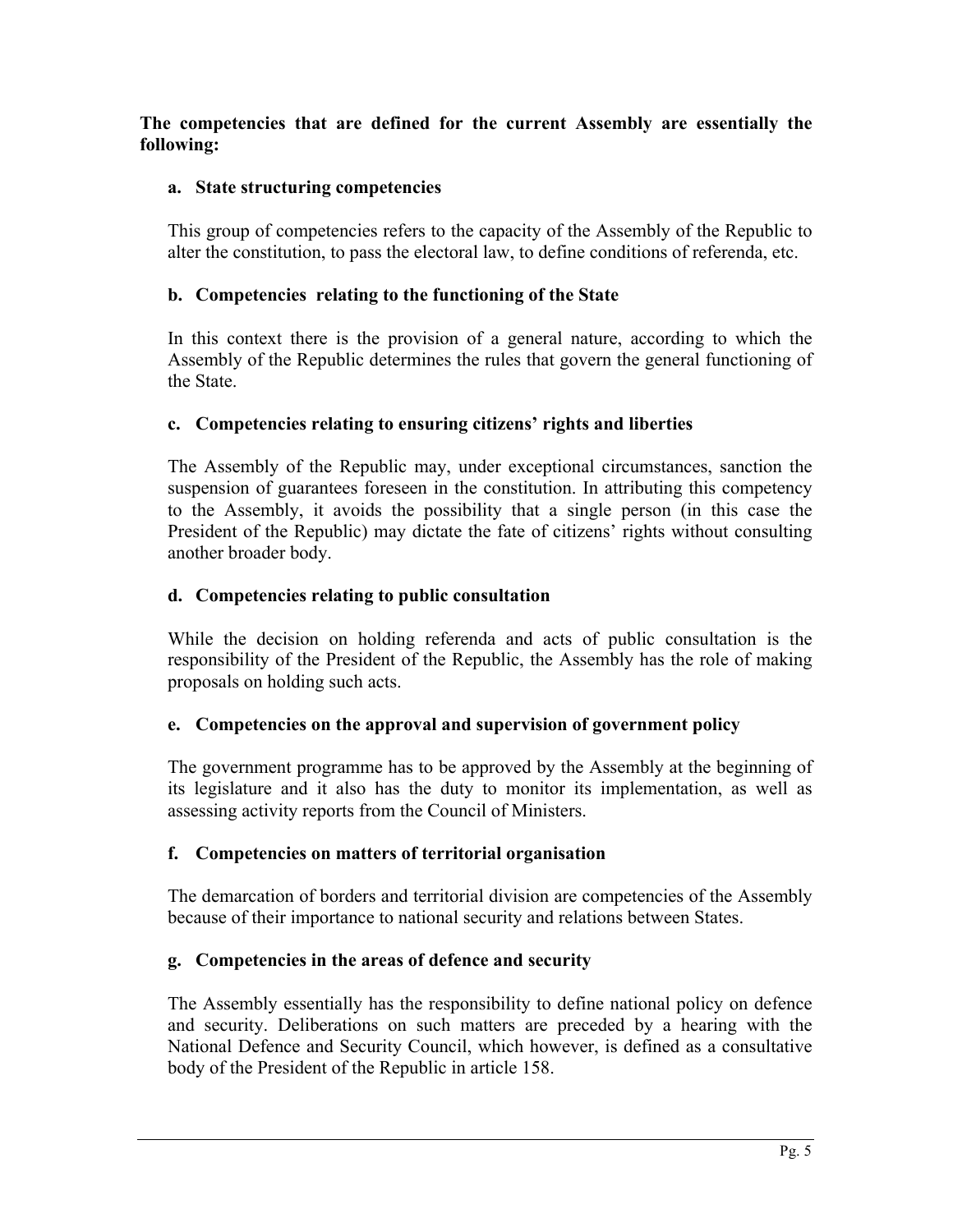**The competencies that are defined for the current Assembly are essentially the following:**

# **a. State structuring competencies**

This group of competencies refers to the capacity of the Assembly of the Republic to alter the constitution, to pass the electoral law, to define conditions of referenda, etc.

# **b. Competencies relating to the functioning of the State**

In this context there is the provision of a general nature, according to which the Assembly of the Republic determines the rules that govern the general functioning of the State.

# **c. Competencies relating to ensuring citizens' rights and liberties**

The Assembly of the Republic may, under exceptional circumstances, sanction the suspension of guarantees foreseen in the constitution. In attributing this competency to the Assembly, it avoids the possibility that a single person (in this case the President of the Republic) may dictate the fate of citizens' rights without consulting another broader body.

# **d. Competencies relating to public consultation**

While the decision on holding referenda and acts of public consultation is the responsibility of the President of the Republic, the Assembly has the role of making proposals on holding such acts.

## **e. Competencies on the approval and supervision of government policy**

The government programme has to be approved by the Assembly at the beginning of its legislature and it also has the duty to monitor its implementation, as well as assessing activity reports from the Council of Ministers.

## **f. Competencies on matters of territorial organisation**

The demarcation of borders and territorial division are competencies of the Assembly because of their importance to national security and relations between States.

# **g. Competencies in the areas of defence and security**

The Assembly essentially has the responsibility to define national policy on defence and security. Deliberations on such matters are preceded by a hearing with the National Defence and Security Council, which however, is defined as a consultative body of the President of the Republic in article 158.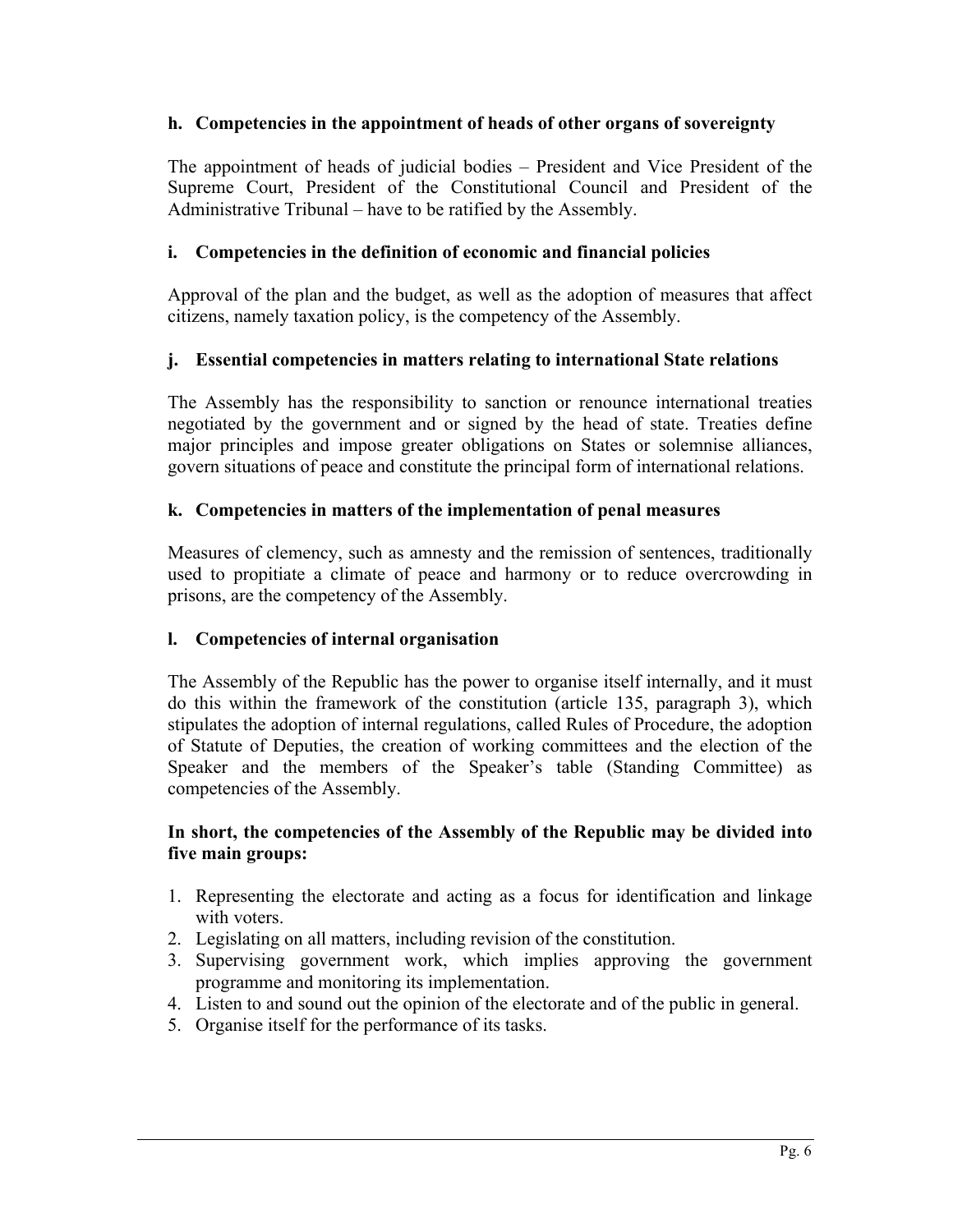## **h. Competencies in the appointment of heads of other organs of sovereignty**

The appointment of heads of judicial bodies – President and Vice President of the Supreme Court, President of the Constitutional Council and President of the Administrative Tribunal – have to be ratified by the Assembly.

# **i. Competencies in the definition of economic and financial policies**

Approval of the plan and the budget, as well as the adoption of measures that affect citizens, namely taxation policy, is the competency of the Assembly.

# **j. Essential competencies in matters relating to international State relations**

The Assembly has the responsibility to sanction or renounce international treaties negotiated by the government and or signed by the head of state. Treaties define major principles and impose greater obligations on States or solemnise alliances, govern situations of peace and constitute the principal form of international relations.

# **k. Competencies in matters of the implementation of penal measures**

Measures of clemency, such as amnesty and the remission of sentences, traditionally used to propitiate a climate of peace and harmony or to reduce overcrowding in prisons, are the competency of the Assembly.

## **l. Competencies of internal organisation**

The Assembly of the Republic has the power to organise itself internally, and it must do this within the framework of the constitution (article 135, paragraph 3), which stipulates the adoption of internal regulations, called Rules of Procedure, the adoption of Statute of Deputies, the creation of working committees and the election of the Speaker and the members of the Speaker's table (Standing Committee) as competencies of the Assembly.

## **In short, the competencies of the Assembly of the Republic may be divided into five main groups:**

- 1. Representing the electorate and acting as a focus for identification and linkage with voters.
- 2. Legislating on all matters, including revision of the constitution.
- 3. Supervising government work, which implies approving the government programme and monitoring its implementation.
- 4. Listen to and sound out the opinion of the electorate and of the public in general.
- 5. Organise itself for the performance of its tasks.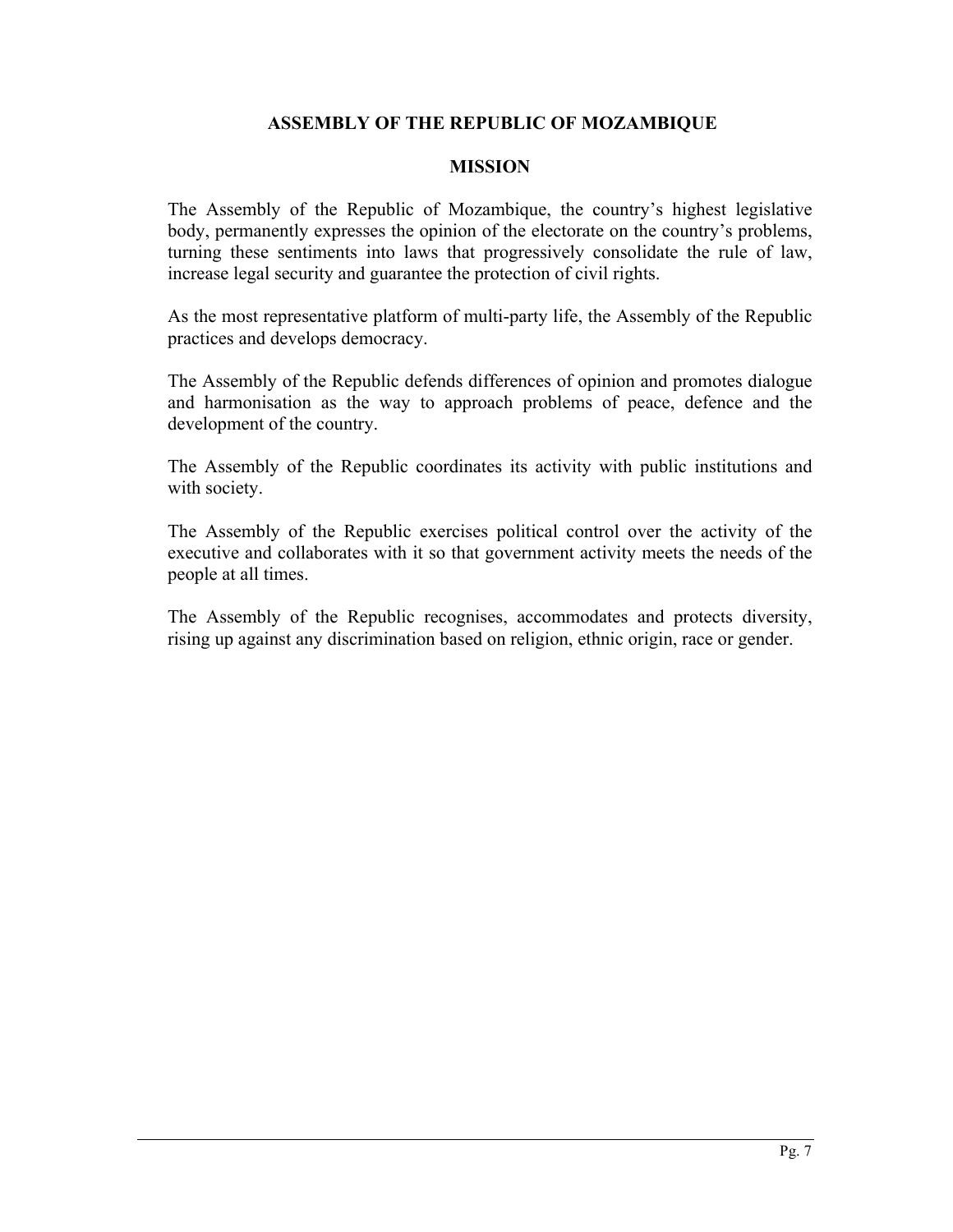## **ASSEMBLY OF THE REPUBLIC OF MOZAMBIQUE**

#### **MISSION**

The Assembly of the Republic of Mozambique, the country's highest legislative body, permanently expresses the opinion of the electorate on the country's problems, turning these sentiments into laws that progressively consolidate the rule of law, increase legal security and guarantee the protection of civil rights.

As the most representative platform of multi-party life, the Assembly of the Republic practices and develops democracy.

The Assembly of the Republic defends differences of opinion and promotes dialogue and harmonisation as the way to approach problems of peace, defence and the development of the country.

The Assembly of the Republic coordinates its activity with public institutions and with society.

The Assembly of the Republic exercises political control over the activity of the executive and collaborates with it so that government activity meets the needs of the people at all times.

The Assembly of the Republic recognises, accommodates and protects diversity, rising up against any discrimination based on religion, ethnic origin, race or gender.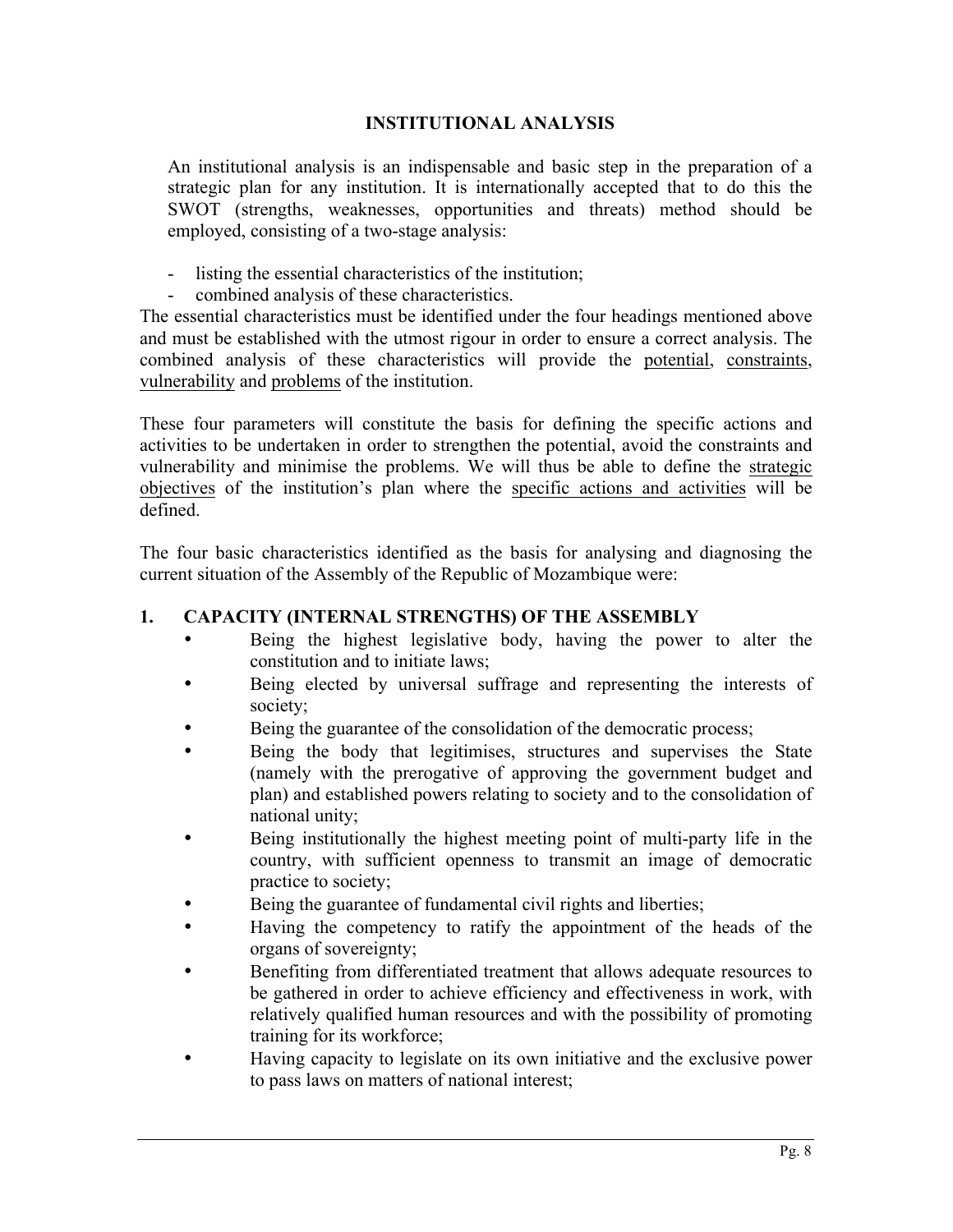## **INSTITUTIONAL ANALYSIS**

An institutional analysis is an indispensable and basic step in the preparation of a strategic plan for any institution. It is internationally accepted that to do this the SWOT (strengths, weaknesses, opportunities and threats) method should be employed, consisting of a two-stage analysis:

- listing the essential characteristics of the institution;
- combined analysis of these characteristics.

The essential characteristics must be identified under the four headings mentioned above and must be established with the utmost rigour in order to ensure a correct analysis. The combined analysis of these characteristics will provide the potential, constraints, vulnerability and problems of the institution.

These four parameters will constitute the basis for defining the specific actions and activities to be undertaken in order to strengthen the potential, avoid the constraints and vulnerability and minimise the problems. We will thus be able to define the strategic objectives of the institution's plan where the specific actions and activities will be defined.

The four basic characteristics identified as the basis for analysing and diagnosing the current situation of the Assembly of the Republic of Mozambique were:

# **1. CAPACITY (INTERNAL STRENGTHS) OF THE ASSEMBLY**

- Being the highest legislative body, having the power to alter the constitution and to initiate laws;
- Being elected by universal suffrage and representing the interests of society;
- Being the guarantee of the consolidation of the democratic process;
- Being the body that legitimises, structures and supervises the State (namely with the prerogative of approving the government budget and plan) and established powers relating to society and to the consolidation of national unity;
- Being institutionally the highest meeting point of multi-party life in the country, with sufficient openness to transmit an image of democratic practice to society;
- Being the guarantee of fundamental civil rights and liberties;
- Having the competency to ratify the appointment of the heads of the organs of sovereignty;
- Benefiting from differentiated treatment that allows adequate resources to be gathered in order to achieve efficiency and effectiveness in work, with relatively qualified human resources and with the possibility of promoting training for its workforce;
- Having capacity to legislate on its own initiative and the exclusive power to pass laws on matters of national interest;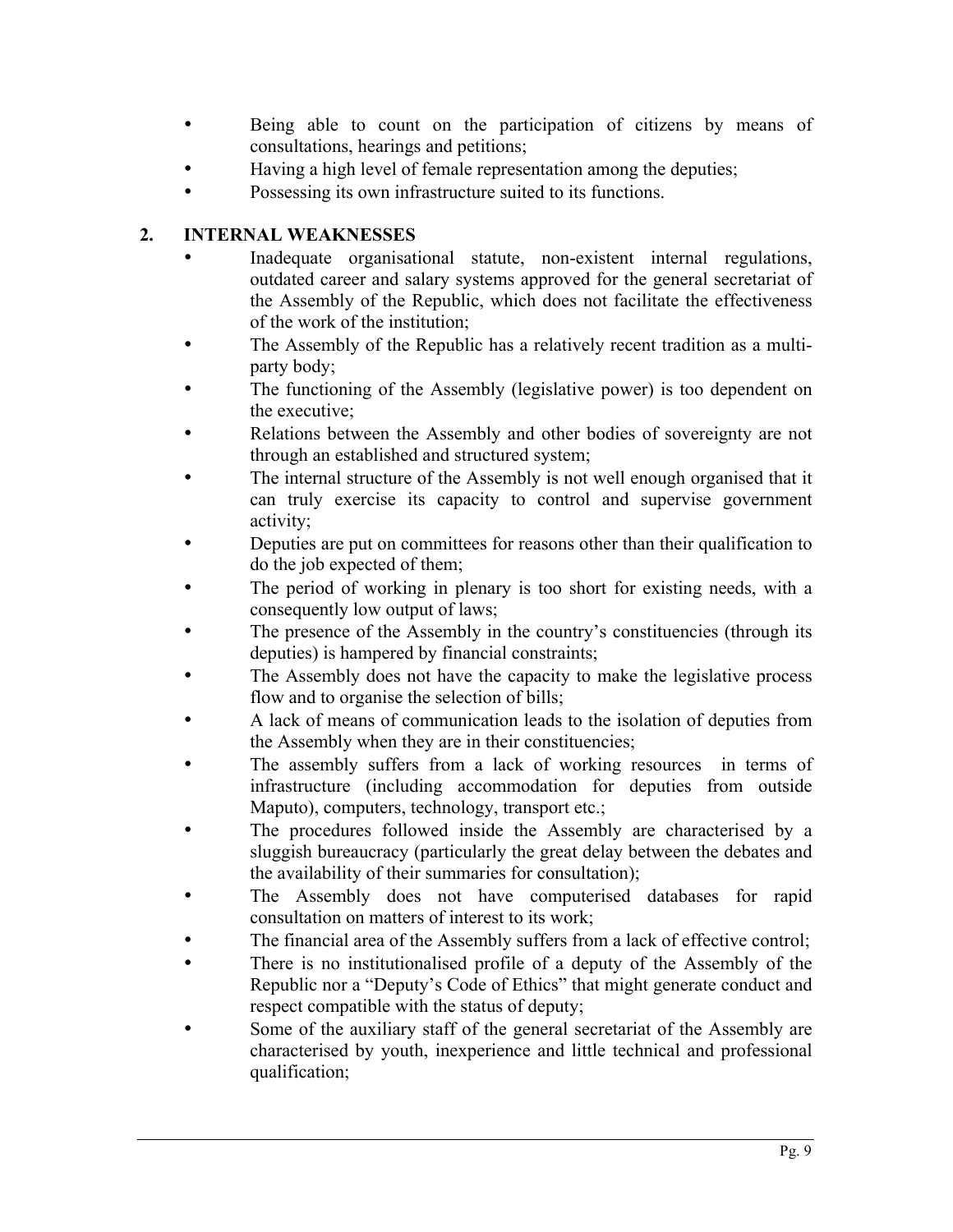- Being able to count on the participation of citizens by means of consultations, hearings and petitions;
- Having a high level of female representation among the deputies;
- Possessing its own infrastructure suited to its functions.

# **2. INTERNAL WEAKNESSES**

- Inadequate organisational statute, non-existent internal regulations, outdated career and salary systems approved for the general secretariat of the Assembly of the Republic, which does not facilitate the effectiveness of the work of the institution;
- The Assembly of the Republic has a relatively recent tradition as a multiparty body;
- The functioning of the Assembly (legislative power) is too dependent on the executive;
- Relations between the Assembly and other bodies of sovereignty are not through an established and structured system;
- The internal structure of the Assembly is not well enough organised that it can truly exercise its capacity to control and supervise government activity;
- Deputies are put on committees for reasons other than their qualification to do the job expected of them;
- The period of working in plenary is too short for existing needs, with a consequently low output of laws;
- The presence of the Assembly in the country's constituencies (through its deputies) is hampered by financial constraints;
- The Assembly does not have the capacity to make the legislative process flow and to organise the selection of bills;
- A lack of means of communication leads to the isolation of deputies from the Assembly when they are in their constituencies;
- The assembly suffers from a lack of working resources in terms of infrastructure (including accommodation for deputies from outside Maputo), computers, technology, transport etc.;
- The procedures followed inside the Assembly are characterised by a sluggish bureaucracy (particularly the great delay between the debates and the availability of their summaries for consultation);
- The Assembly does not have computerised databases for rapid consultation on matters of interest to its work;
- The financial area of the Assembly suffers from a lack of effective control;
- There is no institutionalised profile of a deputy of the Assembly of the Republic nor a "Deputy's Code of Ethics" that might generate conduct and respect compatible with the status of deputy;
- Some of the auxiliary staff of the general secretariat of the Assembly are characterised by youth, inexperience and little technical and professional qualification;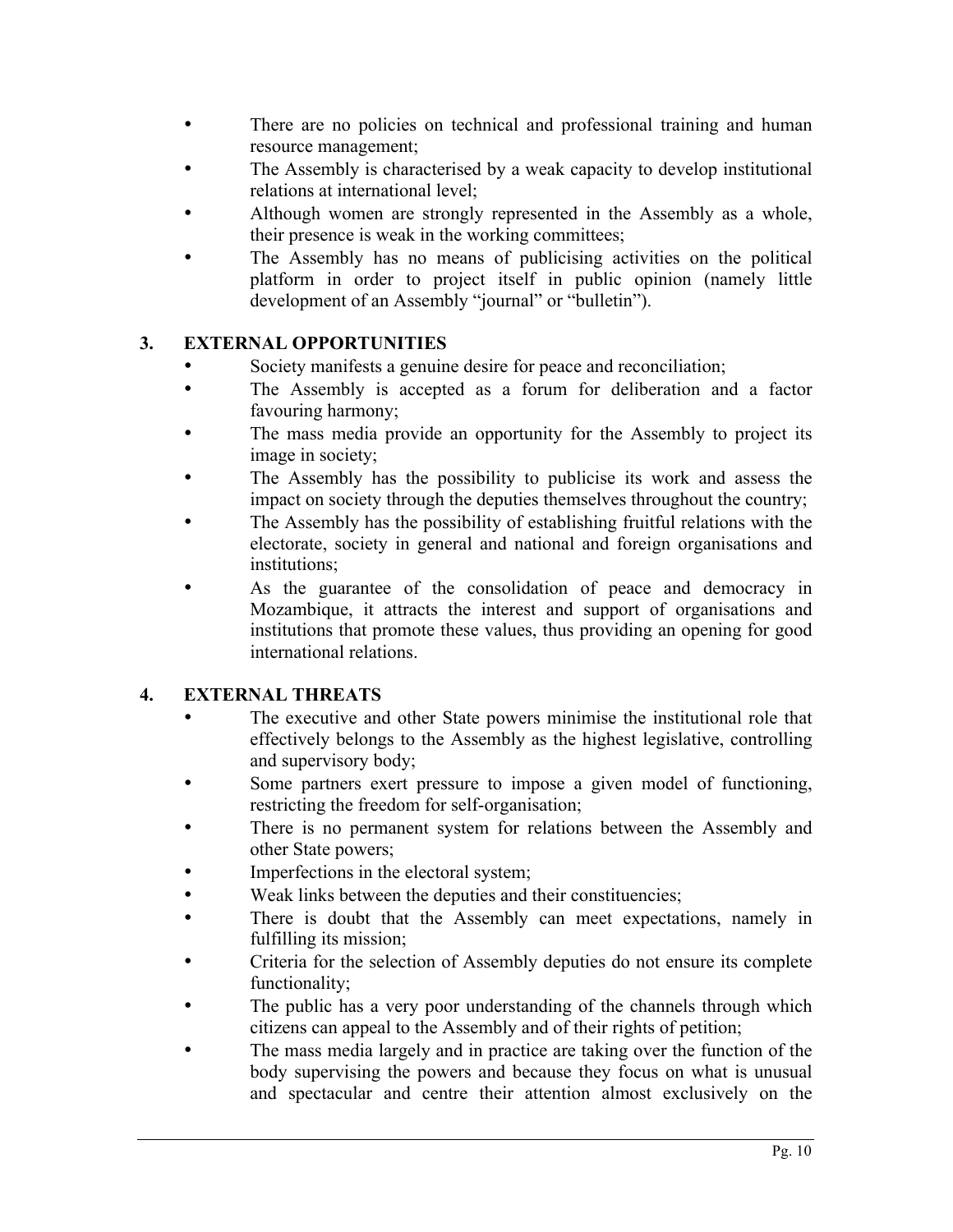- There are no policies on technical and professional training and human resource management;
- The Assembly is characterised by a weak capacity to develop institutional relations at international level;
- Although women are strongly represented in the Assembly as a whole, their presence is weak in the working committees;
- The Assembly has no means of publicising activities on the political platform in order to project itself in public opinion (namely little development of an Assembly "journal" or "bulletin").

# **3. EXTERNAL OPPORTUNITIES**

- Society manifests a genuine desire for peace and reconciliation;
- The Assembly is accepted as a forum for deliberation and a factor favouring harmony;
- The mass media provide an opportunity for the Assembly to project its image in society;
- The Assembly has the possibility to publicise its work and assess the impact on society through the deputies themselves throughout the country;
- The Assembly has the possibility of establishing fruitful relations with the electorate, society in general and national and foreign organisations and institutions;
- As the guarantee of the consolidation of peace and democracy in Mozambique, it attracts the interest and support of organisations and institutions that promote these values, thus providing an opening for good international relations.

# **4. EXTERNAL THREATS**

- The executive and other State powers minimise the institutional role that effectively belongs to the Assembly as the highest legislative, controlling and supervisory body;
- Some partners exert pressure to impose a given model of functioning, restricting the freedom for self-organisation;
- There is no permanent system for relations between the Assembly and other State powers;
- Imperfections in the electoral system;
- Weak links between the deputies and their constituencies;
- There is doubt that the Assembly can meet expectations, namely in fulfilling its mission;
- Criteria for the selection of Assembly deputies do not ensure its complete functionality;
- The public has a very poor understanding of the channels through which citizens can appeal to the Assembly and of their rights of petition;
- The mass media largely and in practice are taking over the function of the body supervising the powers and because they focus on what is unusual and spectacular and centre their attention almost exclusively on the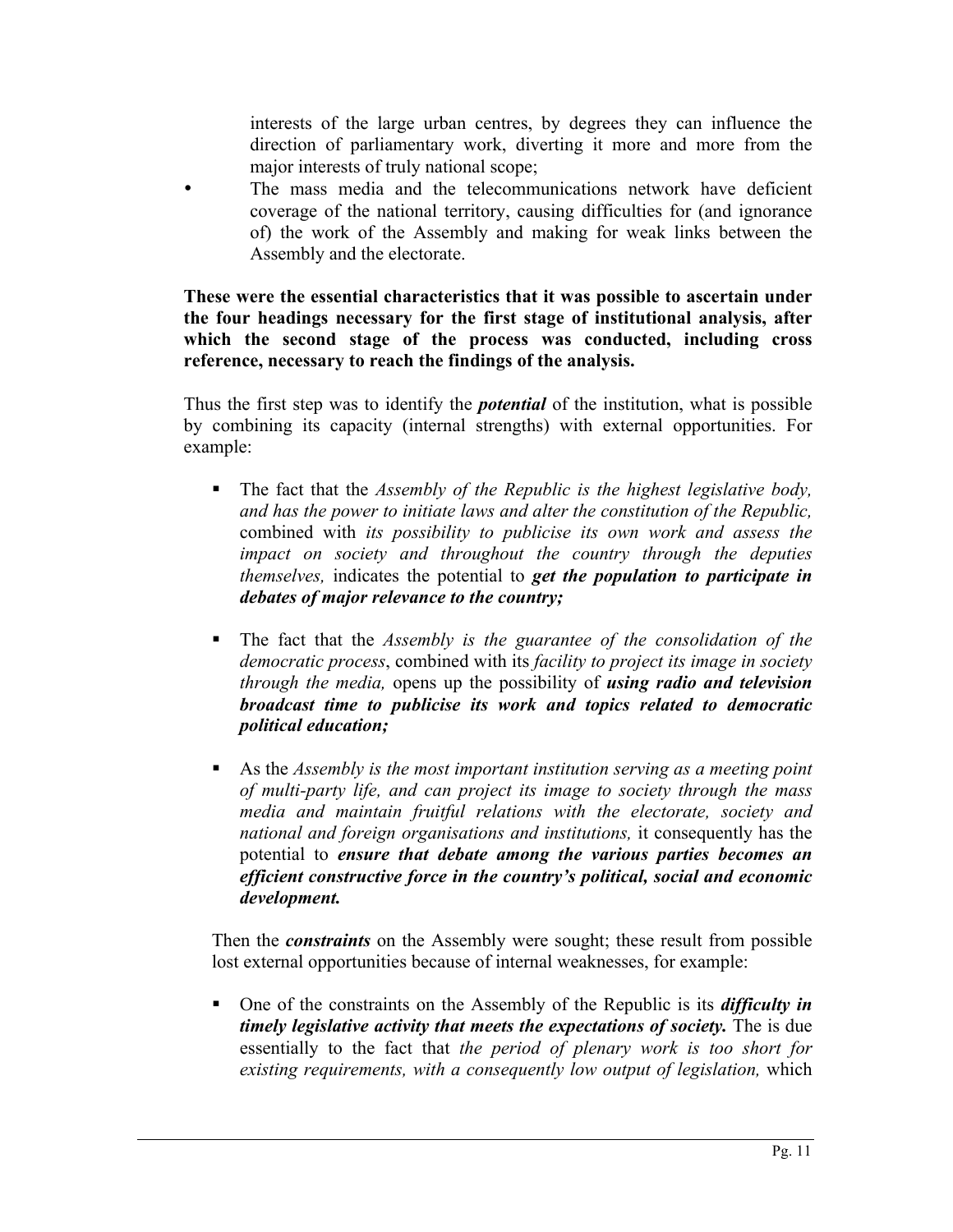interests of the large urban centres, by degrees they can influence the direction of parliamentary work, diverting it more and more from the major interests of truly national scope;

The mass media and the telecommunications network have deficient coverage of the national territory, causing difficulties for (and ignorance of) the work of the Assembly and making for weak links between the Assembly and the electorate.

**These were the essential characteristics that it was possible to ascertain under the four headings necessary for the first stage of institutional analysis, after which the second stage of the process was conducted, including cross reference, necessary to reach the findings of the analysis.**

Thus the first step was to identify the *potential* of the institution, what is possible by combining its capacity (internal strengths) with external opportunities. For example:

- ! The fact that the *Assembly of the Republic is the highest legislative body, and has the power to initiate laws and alter the constitution of the Republic,* combined with *its possibility to publicise its own work and assess the impact on society and throughout the country through the deputies themselves,* indicates the potential to *get the population to participate in debates of major relevance to the country;*
- ! The fact that the *Assembly is the guarantee of the consolidation of the democratic process*, combined with its *facility to project its image in society through the media,* opens up the possibility of *using radio and television broadcast time to publicise its work and topics related to democratic political education;*
- ! As the *Assembly is the most important institution serving as a meeting point of multi-party life, and can project its image to society through the mass media and maintain fruitful relations with the electorate, society and national and foreign organisations and institutions,* it consequently has the potential to *ensure that debate among the various parties becomes an efficient constructive force in the country's political, social and economic development.*

Then the *constraints* on the Assembly were sought; these result from possible lost external opportunities because of internal weaknesses, for example:

! One of the constraints on the Assembly of the Republic is its *difficulty in timely legislative activity that meets the expectations of society.* The is due essentially to the fact that *the period of plenary work is too short for existing requirements, with a consequently low output of legislation,* which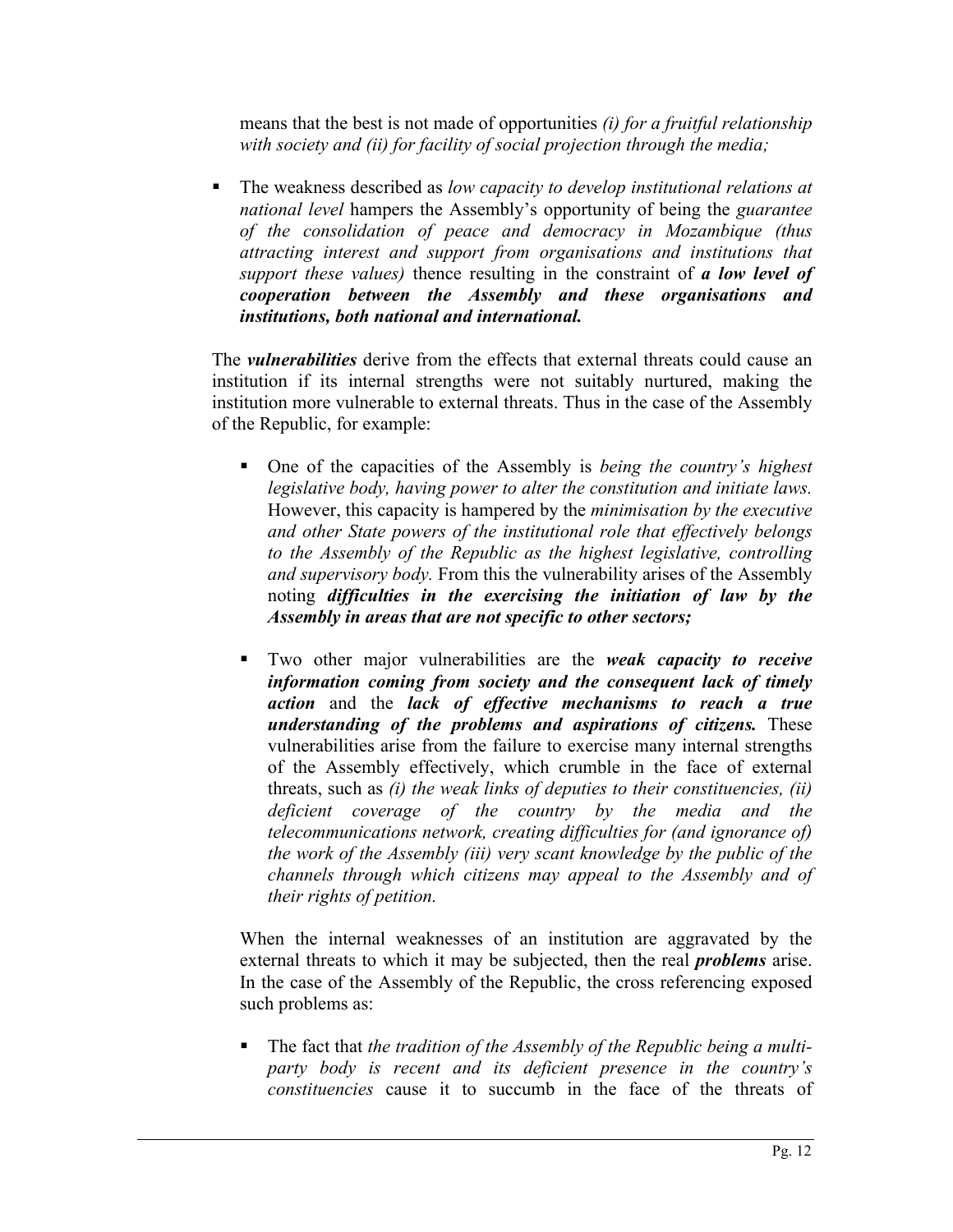means that the best is not made of opportunities *(i) for a fruitful relationship with society and (ii) for facility of social projection through the media;*

! The weakness described as *low capacity to develop institutional relations at national level* hampers the Assembly's opportunity of being the *guarantee of the consolidation of peace and democracy in Mozambique (thus attracting interest and support from organisations and institutions that support these values)* thence resulting in the constraint of *a low level of cooperation between the Assembly and these organisations and institutions, both national and international.*

The *vulnerabilities* derive from the effects that external threats could cause an institution if its internal strengths were not suitably nurtured, making the institution more vulnerable to external threats. Thus in the case of the Assembly of the Republic, for example:

- ! One of the capacities of the Assembly is *being the country's highest legislative body, having power to alter the constitution and initiate laws.* However, this capacity is hampered by the *minimisation by the executive and other State powers of the institutional role that effectively belongs to the Assembly of the Republic as the highest legislative, controlling and supervisory body.* From this the vulnerability arises of the Assembly noting *difficulties in the exercising the initiation of law by the Assembly in areas that are not specific to other sectors;*
- ! Two other major vulnerabilities are the *weak capacity to receive information coming from society and the consequent lack of timely action* and the *lack of effective mechanisms to reach a true understanding of the problems and aspirations of citizens.* These vulnerabilities arise from the failure to exercise many internal strengths of the Assembly effectively, which crumble in the face of external threats, such as *(i) the weak links of deputies to their constituencies, (ii) deficient coverage of the country by the media and the telecommunications network, creating difficulties for (and ignorance of) the work of the Assembly (iii) very scant knowledge by the public of the channels through which citizens may appeal to the Assembly and of their rights of petition.*

When the internal weaknesses of an institution are aggravated by the external threats to which it may be subjected, then the real *problems* arise. In the case of the Assembly of the Republic, the cross referencing exposed such problems as:

! The fact that *the tradition of the Assembly of the Republic being a multiparty body is recent and its deficient presence in the country's constituencies* cause it to succumb in the face of the threats of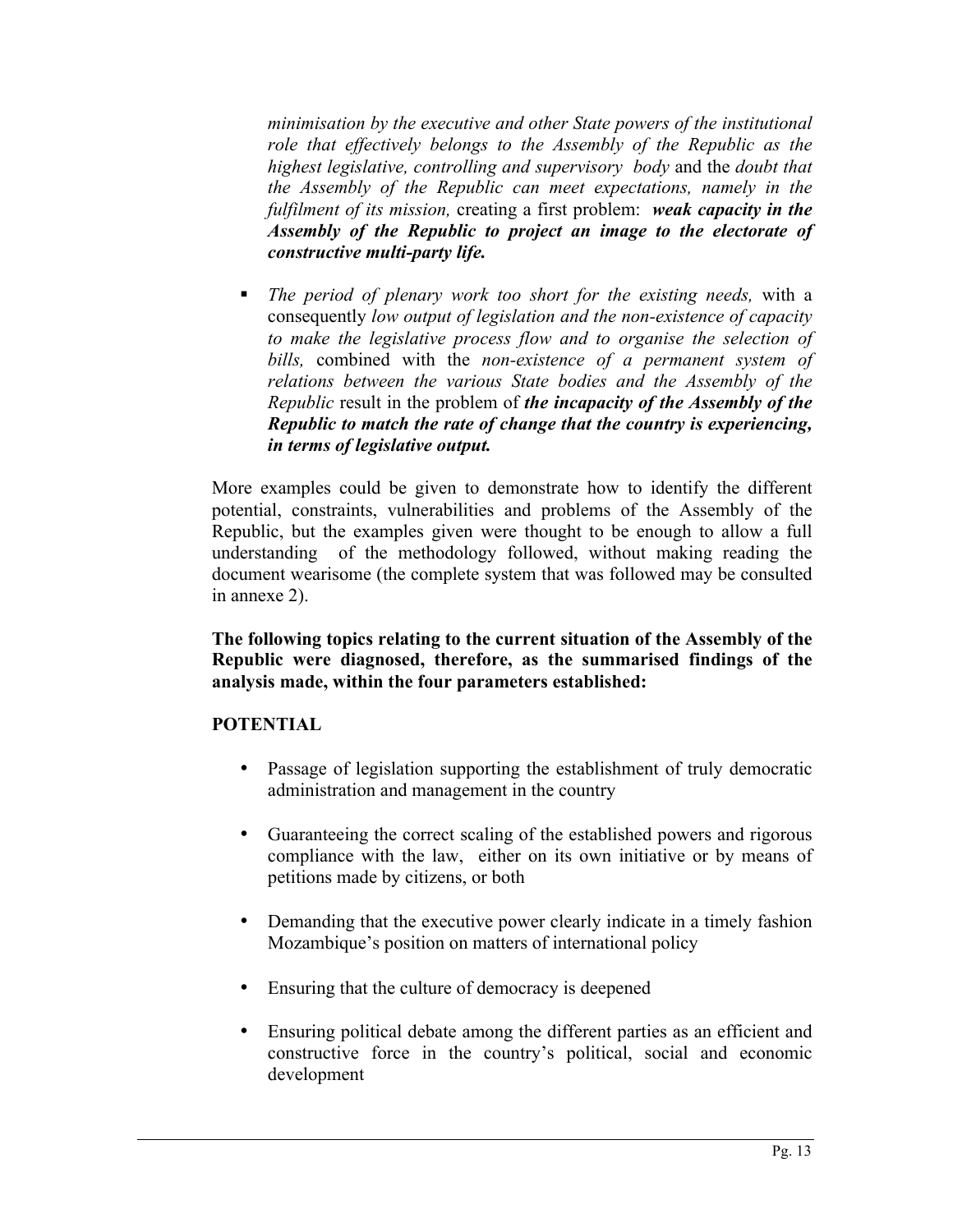*minimisation by the executive and other State powers of the institutional role that effectively belongs to the Assembly of the Republic as the highest legislative, controlling and supervisory body* and the *doubt that the Assembly of the Republic can meet expectations, namely in the fulfilment of its mission,* creating a first problem: *weak capacity in the Assembly of the Republic to project an image to the electorate of constructive multi-party life.*

! *The period of plenary work too short for the existing needs,* with a consequently *low output of legislation and the non-existence of capacity to make the legislative process flow and to organise the selection of bills,* combined with the *non-existence of a permanent system of relations between the various State bodies and the Assembly of the Republic* result in the problem of *the incapacity of the Assembly of the Republic to match the rate of change that the country is experiencing, in terms of legislative output.*

More examples could be given to demonstrate how to identify the different potential, constraints, vulnerabilities and problems of the Assembly of the Republic, but the examples given were thought to be enough to allow a full understanding of the methodology followed, without making reading the document wearisome (the complete system that was followed may be consulted in annexe 2).

**The following topics relating to the current situation of the Assembly of the Republic were diagnosed, therefore, as the summarised findings of the analysis made, within the four parameters established:**

# **POTENTIAL**

- Passage of legislation supporting the establishment of truly democratic administration and management in the country
- Guaranteeing the correct scaling of the established powers and rigorous compliance with the law, either on its own initiative or by means of petitions made by citizens, or both
- Demanding that the executive power clearly indicate in a timely fashion Mozambique's position on matters of international policy
- Ensuring that the culture of democracy is deepened
- Ensuring political debate among the different parties as an efficient and constructive force in the country's political, social and economic development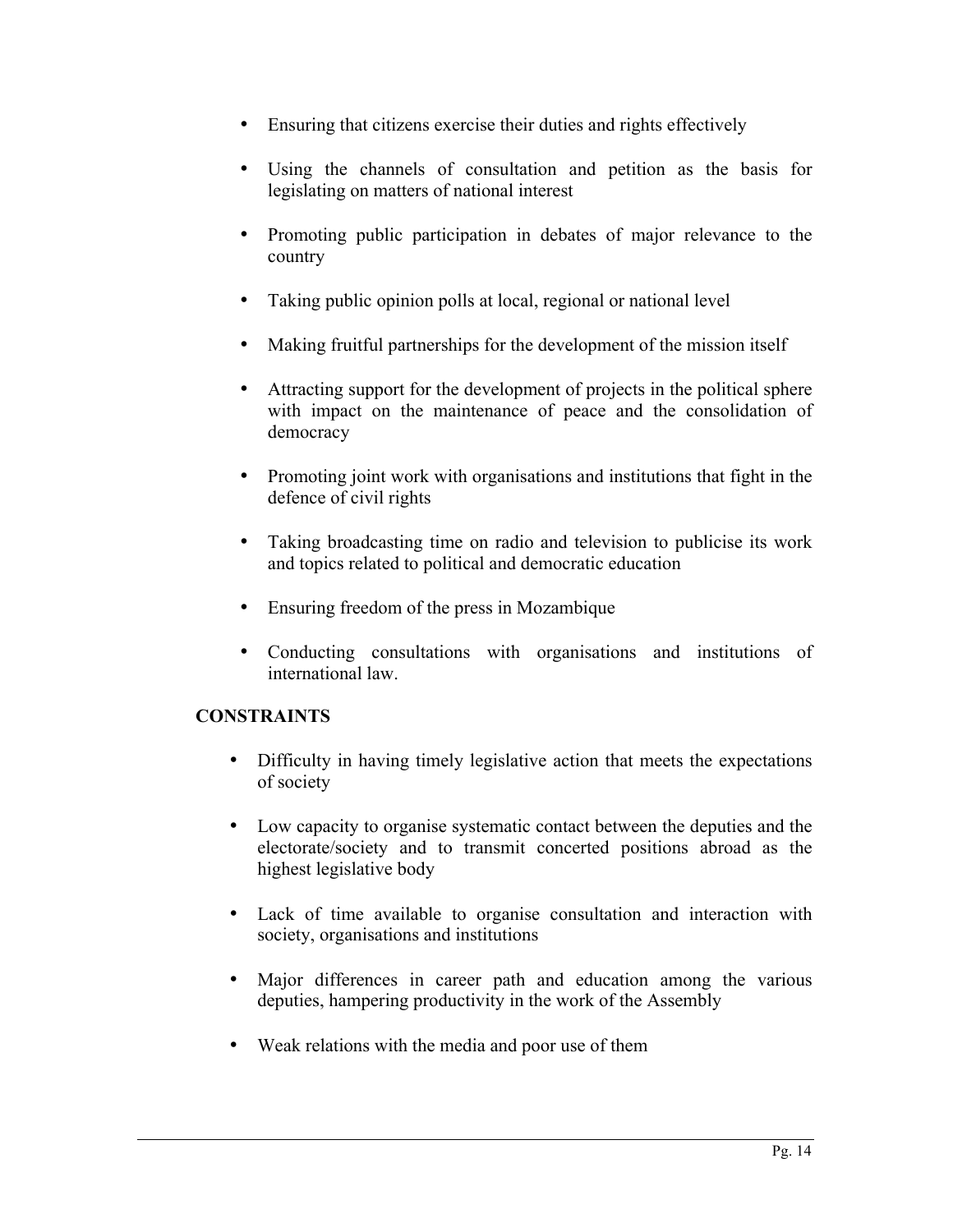- Ensuring that citizens exercise their duties and rights effectively
- Using the channels of consultation and petition as the basis for legislating on matters of national interest
- Promoting public participation in debates of major relevance to the country
- Taking public opinion polls at local, regional or national level
- Making fruitful partnerships for the development of the mission itself
- Attracting support for the development of projects in the political sphere with impact on the maintenance of peace and the consolidation of democracy
- Promoting joint work with organisations and institutions that fight in the defence of civil rights
- Taking broadcasting time on radio and television to publicise its work and topics related to political and democratic education
- Ensuring freedom of the press in Mozambique
- Conducting consultations with organisations and institutions of international law.

# **CONSTRAINTS**

- Difficulty in having timely legislative action that meets the expectations of society
- Low capacity to organise systematic contact between the deputies and the electorate/society and to transmit concerted positions abroad as the highest legislative body
- Lack of time available to organise consultation and interaction with society, organisations and institutions
- Major differences in career path and education among the various deputies, hampering productivity in the work of the Assembly
- Weak relations with the media and poor use of them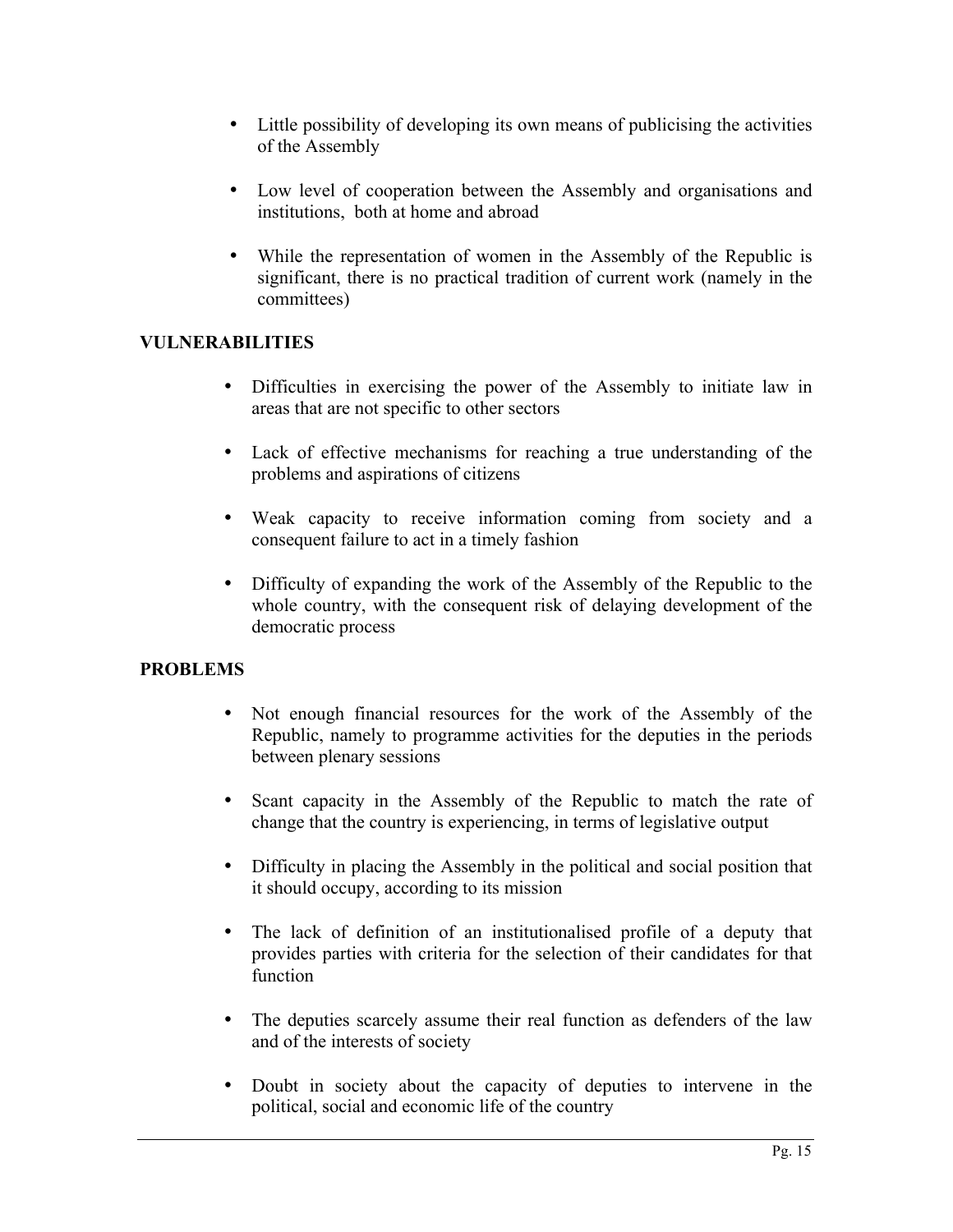- Little possibility of developing its own means of publicising the activities of the Assembly
- Low level of cooperation between the Assembly and organisations and institutions, both at home and abroad
- While the representation of women in the Assembly of the Republic is significant, there is no practical tradition of current work (namely in the committees)

# **VULNERABILITIES**

- Difficulties in exercising the power of the Assembly to initiate law in areas that are not specific to other sectors
- Lack of effective mechanisms for reaching a true understanding of the problems and aspirations of citizens
- Weak capacity to receive information coming from society and a consequent failure to act in a timely fashion
- Difficulty of expanding the work of the Assembly of the Republic to the whole country, with the consequent risk of delaying development of the democratic process

# **PROBLEMS**

- Not enough financial resources for the work of the Assembly of the Republic, namely to programme activities for the deputies in the periods between plenary sessions
- Scant capacity in the Assembly of the Republic to match the rate of change that the country is experiencing, in terms of legislative output
- Difficulty in placing the Assembly in the political and social position that it should occupy, according to its mission
- The lack of definition of an institutionalised profile of a deputy that provides parties with criteria for the selection of their candidates for that function
- The deputies scarcely assume their real function as defenders of the law and of the interests of society
- Doubt in society about the capacity of deputies to intervene in the political, social and economic life of the country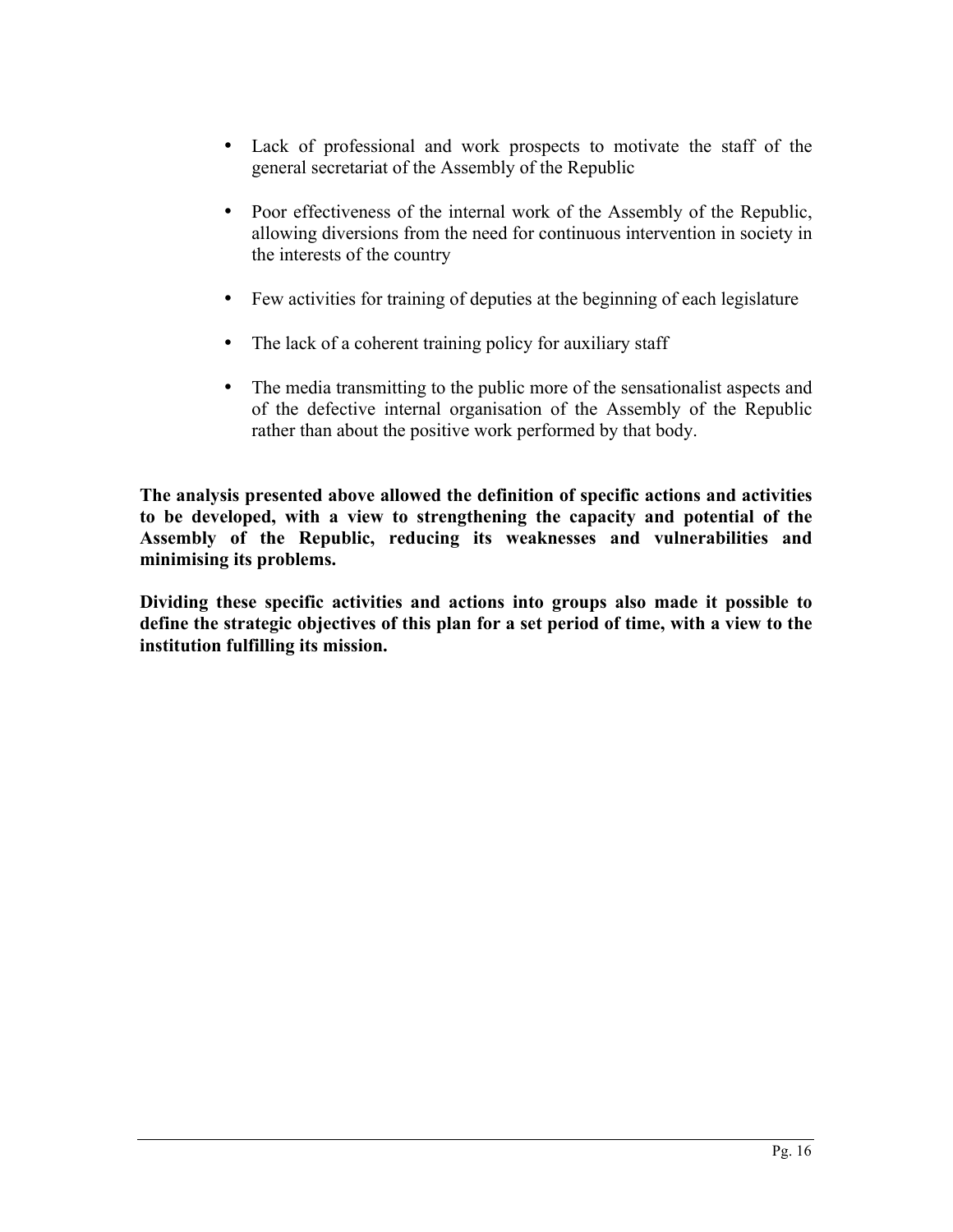- Lack of professional and work prospects to motivate the staff of the general secretariat of the Assembly of the Republic
- Poor effectiveness of the internal work of the Assembly of the Republic, allowing diversions from the need for continuous intervention in society in the interests of the country
- Few activities for training of deputies at the beginning of each legislature
- The lack of a coherent training policy for auxiliary staff
- The media transmitting to the public more of the sensationalist aspects and of the defective internal organisation of the Assembly of the Republic rather than about the positive work performed by that body.

**The analysis presented above allowed the definition of specific actions and activities to be developed, with a view to strengthening the capacity and potential of the Assembly of the Republic, reducing its weaknesses and vulnerabilities and minimising its problems.**

**Dividing these specific activities and actions into groups also made it possible to define the strategic objectives of this plan for a set period of time, with a view to the institution fulfilling its mission.**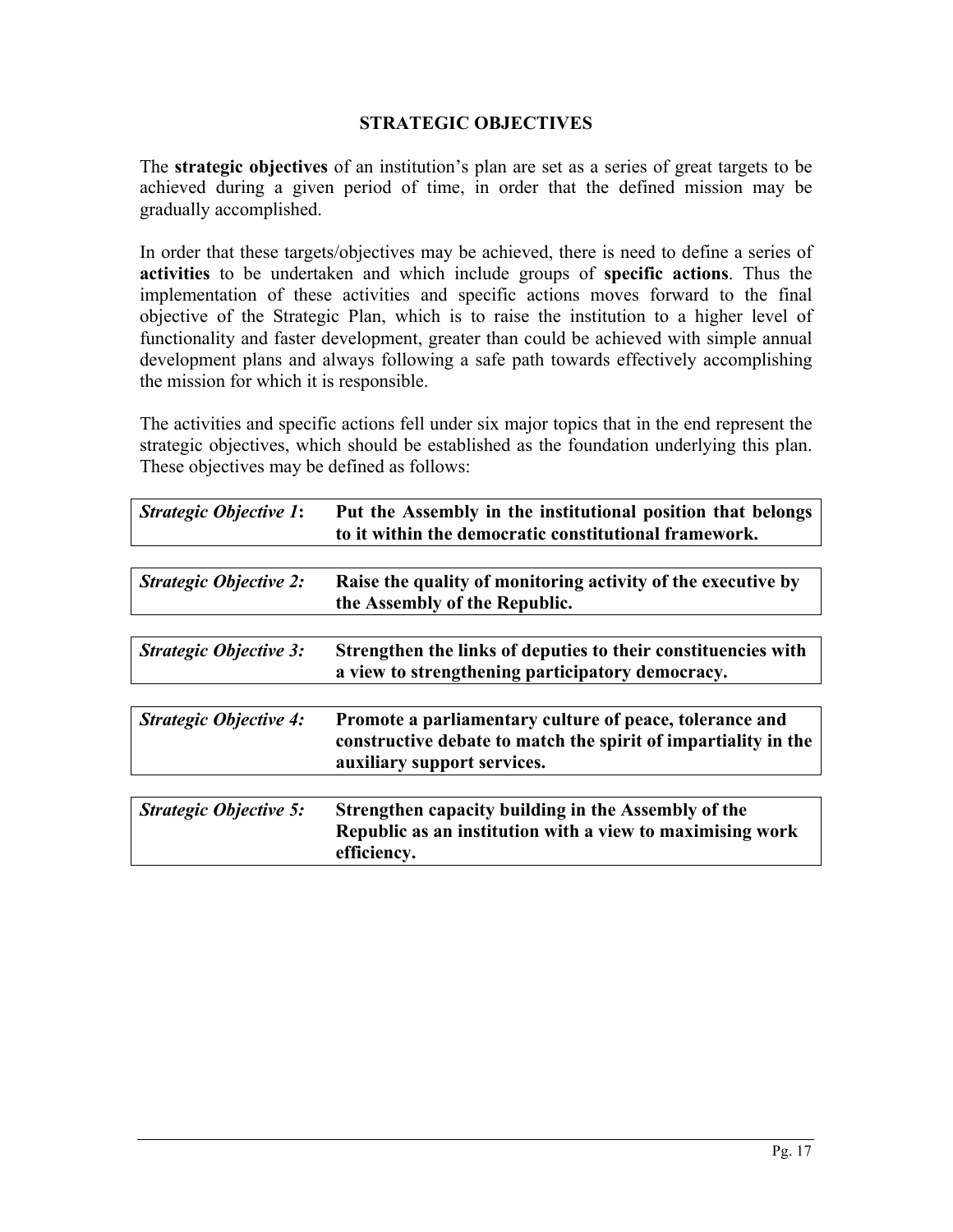## **STRATEGIC OBJECTIVES**

The **strategic objectives** of an institution's plan are set as a series of great targets to be achieved during a given period of time, in order that the defined mission may be gradually accomplished.

In order that these targets/objectives may be achieved, there is need to define a series of **activities** to be undertaken and which include groups of **specific actions**. Thus the implementation of these activities and specific actions moves forward to the final objective of the Strategic Plan, which is to raise the institution to a higher level of functionality and faster development, greater than could be achieved with simple annual development plans and always following a safe path towards effectively accomplishing the mission for which it is responsible.

The activities and specific actions fell under six major topics that in the end represent the strategic objectives, which should be established as the foundation underlying this plan. These objectives may be defined as follows:

| <b>Strategic Objective 1:</b> | Put the Assembly in the institutional position that belongs<br>to it within the democratic constitutional framework.                                     |
|-------------------------------|----------------------------------------------------------------------------------------------------------------------------------------------------------|
|                               |                                                                                                                                                          |
| <b>Strategic Objective 2:</b> | Raise the quality of monitoring activity of the executive by<br>the Assembly of the Republic.                                                            |
|                               |                                                                                                                                                          |
| <b>Strategic Objective 3:</b> | Strengthen the links of deputies to their constituencies with<br>a view to strengthening participatory democracy.                                        |
|                               |                                                                                                                                                          |
| <b>Strategic Objective 4:</b> | Promote a parliamentary culture of peace, tolerance and<br>constructive debate to match the spirit of impartiality in the<br>auxiliary support services. |
|                               |                                                                                                                                                          |
| <b>Strategic Objective 5:</b> | Strengthen capacity building in the Assembly of the<br>Republic as an institution with a view to maximising work<br>efficiency.                          |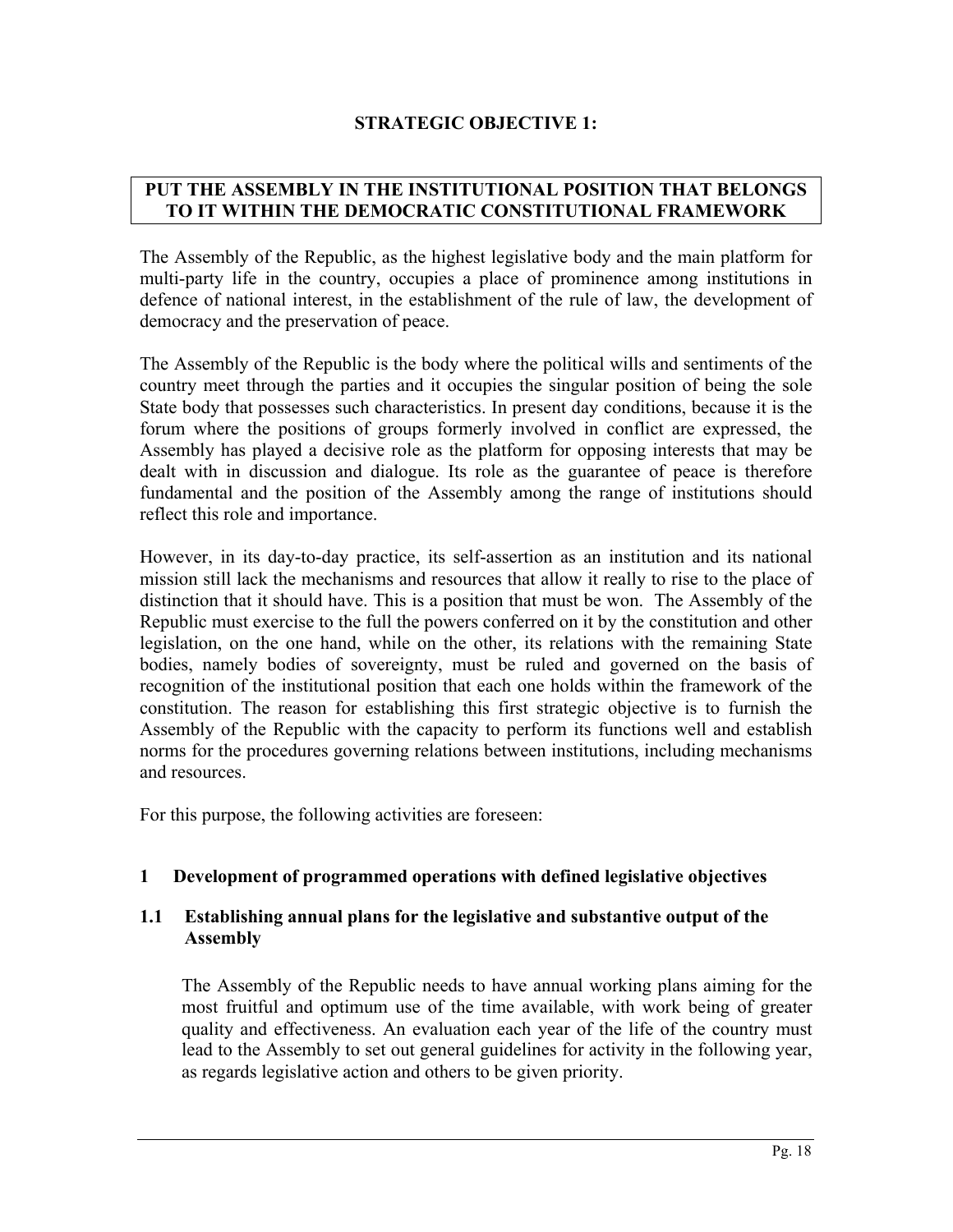# **STRATEGIC OBJECTIVE 1:**

# **PUT THE ASSEMBLY IN THE INSTITUTIONAL POSITION THAT BELONGS TO IT WITHIN THE DEMOCRATIC CONSTITUTIONAL FRAMEWORK**

The Assembly of the Republic, as the highest legislative body and the main platform for multi-party life in the country, occupies a place of prominence among institutions in defence of national interest, in the establishment of the rule of law, the development of democracy and the preservation of peace.

The Assembly of the Republic is the body where the political wills and sentiments of the country meet through the parties and it occupies the singular position of being the sole State body that possesses such characteristics. In present day conditions, because it is the forum where the positions of groups formerly involved in conflict are expressed, the Assembly has played a decisive role as the platform for opposing interests that may be dealt with in discussion and dialogue. Its role as the guarantee of peace is therefore fundamental and the position of the Assembly among the range of institutions should reflect this role and importance.

However, in its day-to-day practice, its self-assertion as an institution and its national mission still lack the mechanisms and resources that allow it really to rise to the place of distinction that it should have. This is a position that must be won. The Assembly of the Republic must exercise to the full the powers conferred on it by the constitution and other legislation, on the one hand, while on the other, its relations with the remaining State bodies, namely bodies of sovereignty, must be ruled and governed on the basis of recognition of the institutional position that each one holds within the framework of the constitution. The reason for establishing this first strategic objective is to furnish the Assembly of the Republic with the capacity to perform its functions well and establish norms for the procedures governing relations between institutions, including mechanisms and resources.

For this purpose, the following activities are foreseen:

## **1 Development of programmed operations with defined legislative objectives**

## **1.1 Establishing annual plans for the legislative and substantive output of the Assembly**

The Assembly of the Republic needs to have annual working plans aiming for the most fruitful and optimum use of the time available, with work being of greater quality and effectiveness. An evaluation each year of the life of the country must lead to the Assembly to set out general guidelines for activity in the following year, as regards legislative action and others to be given priority.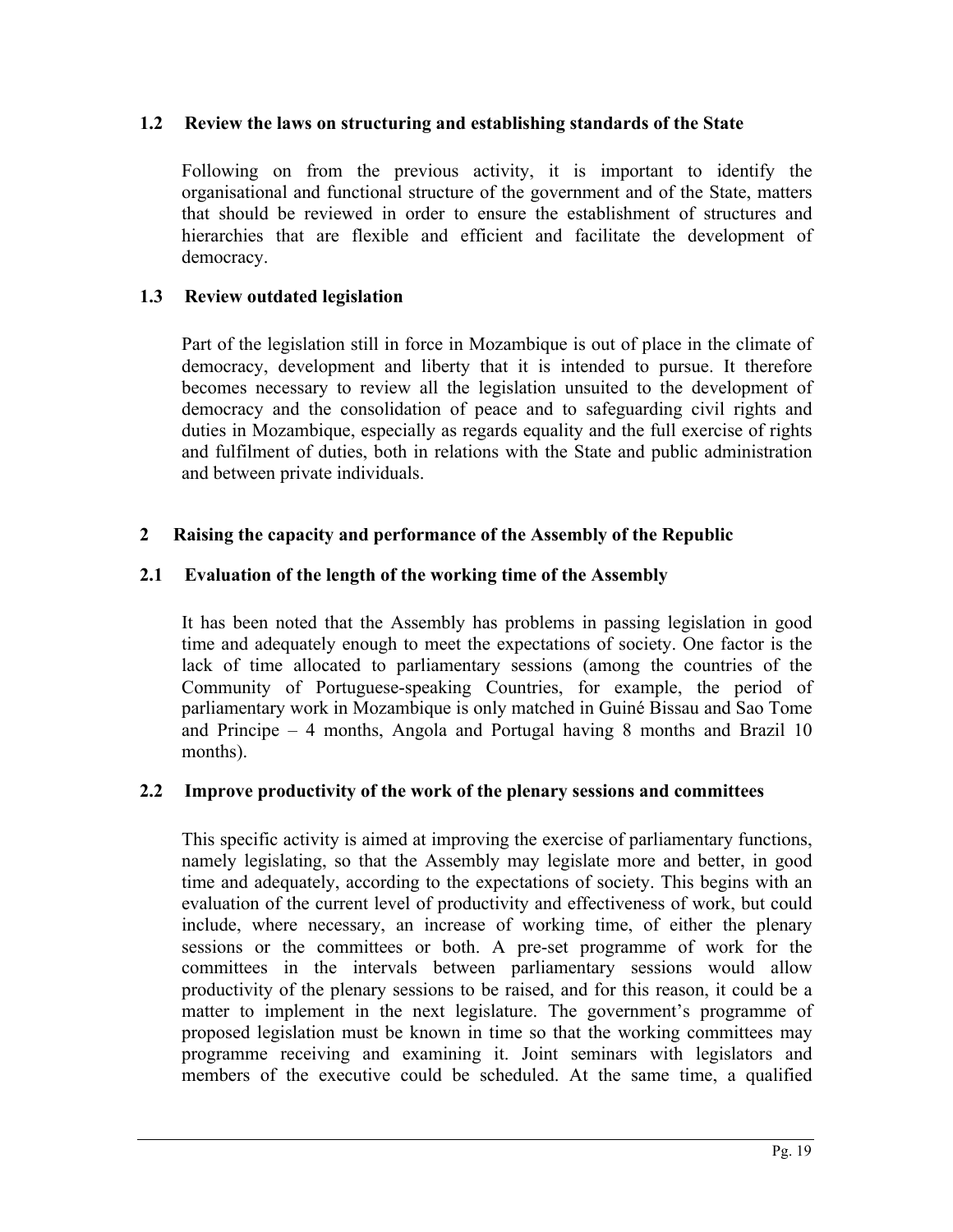### **1.2 Review the laws on structuring and establishing standards of the State**

Following on from the previous activity, it is important to identify the organisational and functional structure of the government and of the State, matters that should be reviewed in order to ensure the establishment of structures and hierarchies that are flexible and efficient and facilitate the development of democracy.

## **1.3 Review outdated legislation**

Part of the legislation still in force in Mozambique is out of place in the climate of democracy, development and liberty that it is intended to pursue. It therefore becomes necessary to review all the legislation unsuited to the development of democracy and the consolidation of peace and to safeguarding civil rights and duties in Mozambique, especially as regards equality and the full exercise of rights and fulfilment of duties, both in relations with the State and public administration and between private individuals.

# **2 Raising the capacity and performance of the Assembly of the Republic**

# **2.1 Evaluation of the length of the working time of the Assembly**

It has been noted that the Assembly has problems in passing legislation in good time and adequately enough to meet the expectations of society. One factor is the lack of time allocated to parliamentary sessions (among the countries of the Community of Portuguese-speaking Countries, for example, the period of parliamentary work in Mozambique is only matched in Guiné Bissau and Sao Tome and Principe – 4 months, Angola and Portugal having 8 months and Brazil 10 months).

## **2.2 Improve productivity of the work of the plenary sessions and committees**

This specific activity is aimed at improving the exercise of parliamentary functions, namely legislating, so that the Assembly may legislate more and better, in good time and adequately, according to the expectations of society. This begins with an evaluation of the current level of productivity and effectiveness of work, but could include, where necessary, an increase of working time, of either the plenary sessions or the committees or both. A pre-set programme of work for the committees in the intervals between parliamentary sessions would allow productivity of the plenary sessions to be raised, and for this reason, it could be a matter to implement in the next legislature. The government's programme of proposed legislation must be known in time so that the working committees may programme receiving and examining it. Joint seminars with legislators and members of the executive could be scheduled. At the same time, a qualified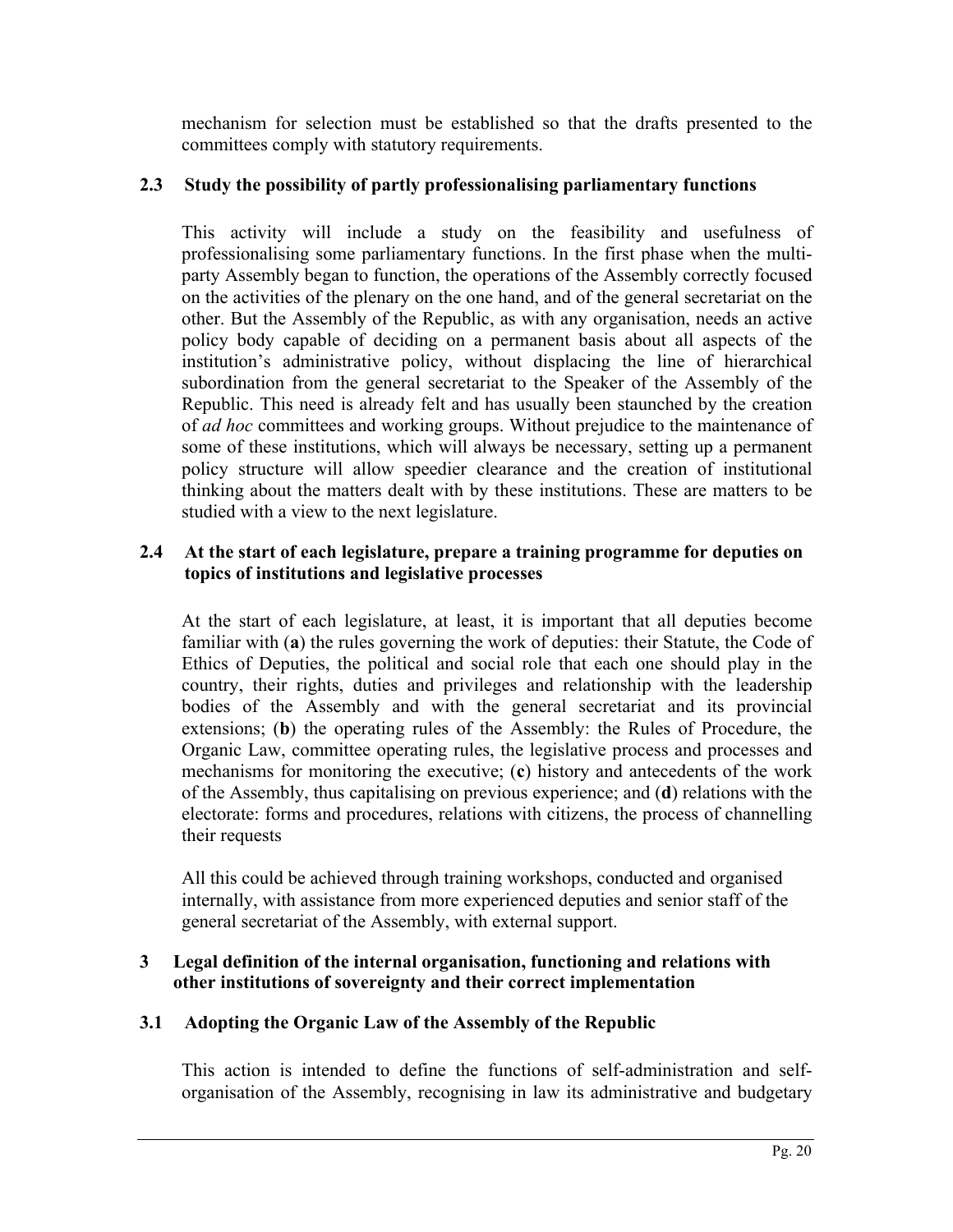mechanism for selection must be established so that the drafts presented to the committees comply with statutory requirements.

# **2.3 Study the possibility of partly professionalising parliamentary functions**

This activity will include a study on the feasibility and usefulness of professionalising some parliamentary functions. In the first phase when the multiparty Assembly began to function, the operations of the Assembly correctly focused on the activities of the plenary on the one hand, and of the general secretariat on the other. But the Assembly of the Republic, as with any organisation, needs an active policy body capable of deciding on a permanent basis about all aspects of the institution's administrative policy, without displacing the line of hierarchical subordination from the general secretariat to the Speaker of the Assembly of the Republic. This need is already felt and has usually been staunched by the creation of *ad hoc* committees and working groups. Without prejudice to the maintenance of some of these institutions, which will always be necessary, setting up a permanent policy structure will allow speedier clearance and the creation of institutional thinking about the matters dealt with by these institutions. These are matters to be studied with a view to the next legislature.

## **2.4 At the start of each legislature, prepare a training programme for deputies on topics of institutions and legislative processes**

At the start of each legislature, at least, it is important that all deputies become familiar with (**a**) the rules governing the work of deputies: their Statute, the Code of Ethics of Deputies, the political and social role that each one should play in the country, their rights, duties and privileges and relationship with the leadership bodies of the Assembly and with the general secretariat and its provincial extensions; (**b**) the operating rules of the Assembly: the Rules of Procedure, the Organic Law, committee operating rules, the legislative process and processes and mechanisms for monitoring the executive; (**c**) history and antecedents of the work of the Assembly, thus capitalising on previous experience; and (**d**) relations with the electorate: forms and procedures, relations with citizens, the process of channelling their requests

All this could be achieved through training workshops, conducted and organised internally, with assistance from more experienced deputies and senior staff of the general secretariat of the Assembly, with external support.

### **3 Legal definition of the internal organisation, functioning and relations with other institutions of sovereignty and their correct implementation**

# **3.1 Adopting the Organic Law of the Assembly of the Republic**

This action is intended to define the functions of self-administration and selforganisation of the Assembly, recognising in law its administrative and budgetary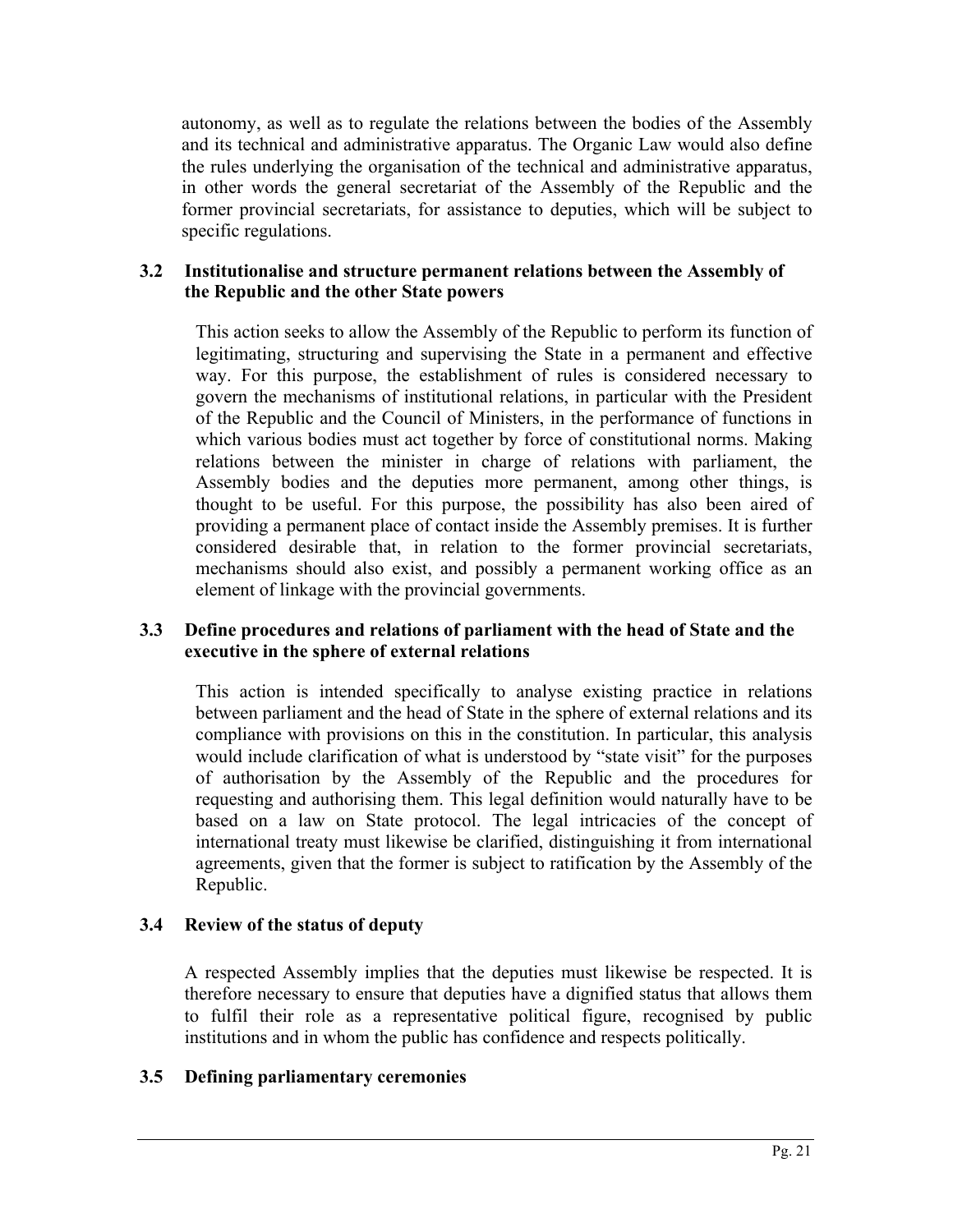autonomy, as well as to regulate the relations between the bodies of the Assembly and its technical and administrative apparatus. The Organic Law would also define the rules underlying the organisation of the technical and administrative apparatus, in other words the general secretariat of the Assembly of the Republic and the former provincial secretariats, for assistance to deputies, which will be subject to specific regulations.

## **3.2 Institutionalise and structure permanent relations between the Assembly of the Republic and the other State powers**

This action seeks to allow the Assembly of the Republic to perform its function of legitimating, structuring and supervising the State in a permanent and effective way. For this purpose, the establishment of rules is considered necessary to govern the mechanisms of institutional relations, in particular with the President of the Republic and the Council of Ministers, in the performance of functions in which various bodies must act together by force of constitutional norms. Making relations between the minister in charge of relations with parliament, the Assembly bodies and the deputies more permanent, among other things, is thought to be useful. For this purpose, the possibility has also been aired of providing a permanent place of contact inside the Assembly premises. It is further considered desirable that, in relation to the former provincial secretariats, mechanisms should also exist, and possibly a permanent working office as an element of linkage with the provincial governments.

# **3.3 Define procedures and relations of parliament with the head of State and the executive in the sphere of external relations**

This action is intended specifically to analyse existing practice in relations between parliament and the head of State in the sphere of external relations and its compliance with provisions on this in the constitution. In particular, this analysis would include clarification of what is understood by "state visit" for the purposes of authorisation by the Assembly of the Republic and the procedures for requesting and authorising them. This legal definition would naturally have to be based on a law on State protocol. The legal intricacies of the concept of international treaty must likewise be clarified, distinguishing it from international agreements, given that the former is subject to ratification by the Assembly of the Republic.

## **3.4 Review of the status of deputy**

A respected Assembly implies that the deputies must likewise be respected. It is therefore necessary to ensure that deputies have a dignified status that allows them to fulfil their role as a representative political figure, recognised by public institutions and in whom the public has confidence and respects politically.

## **3.5 Defining parliamentary ceremonies**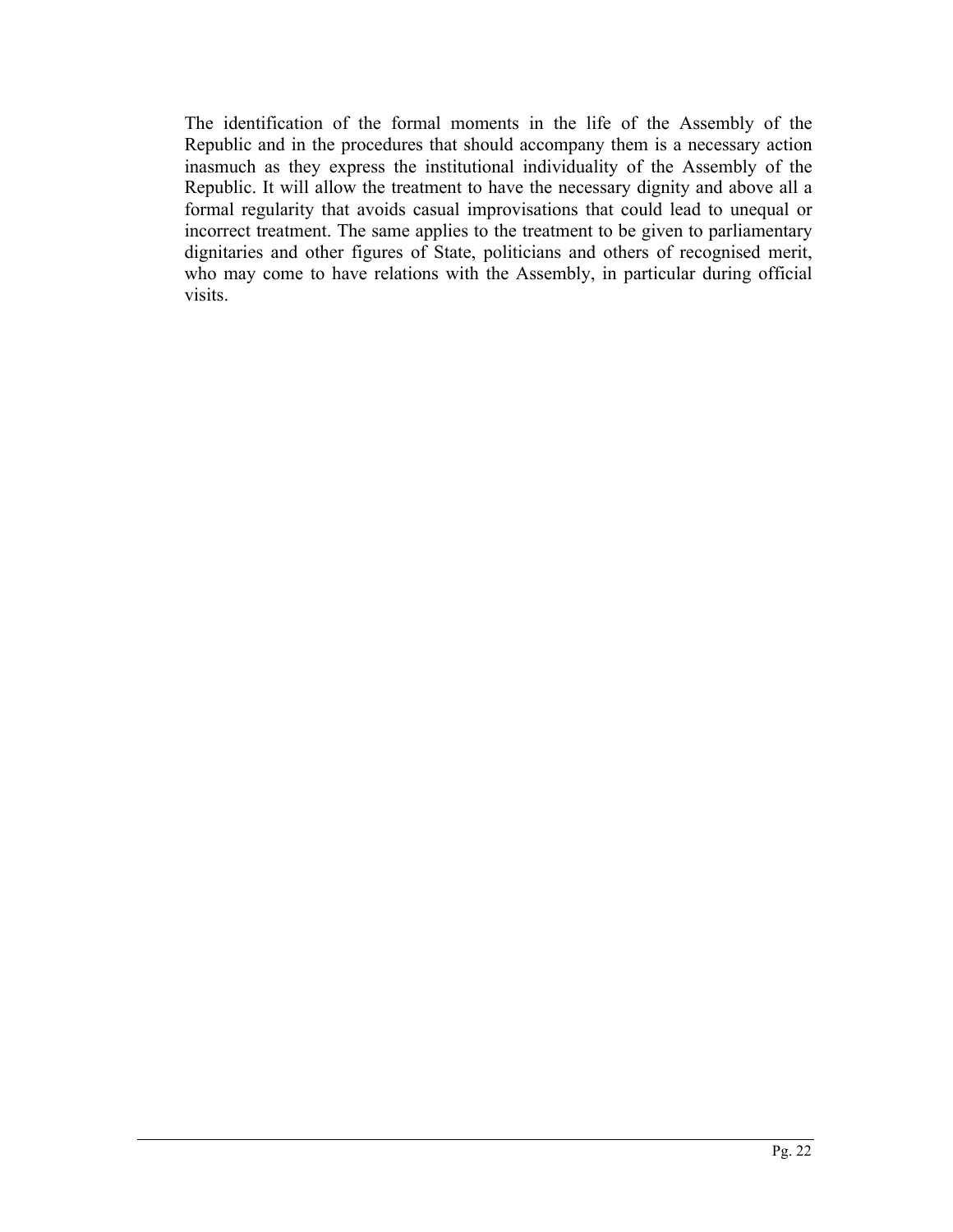The identification of the formal moments in the life of the Assembly of the Republic and in the procedures that should accompany them is a necessary action inasmuch as they express the institutional individuality of the Assembly of the Republic. It will allow the treatment to have the necessary dignity and above all a formal regularity that avoids casual improvisations that could lead to unequal or incorrect treatment. The same applies to the treatment to be given to parliamentary dignitaries and other figures of State, politicians and others of recognised merit, who may come to have relations with the Assembly, in particular during official visits.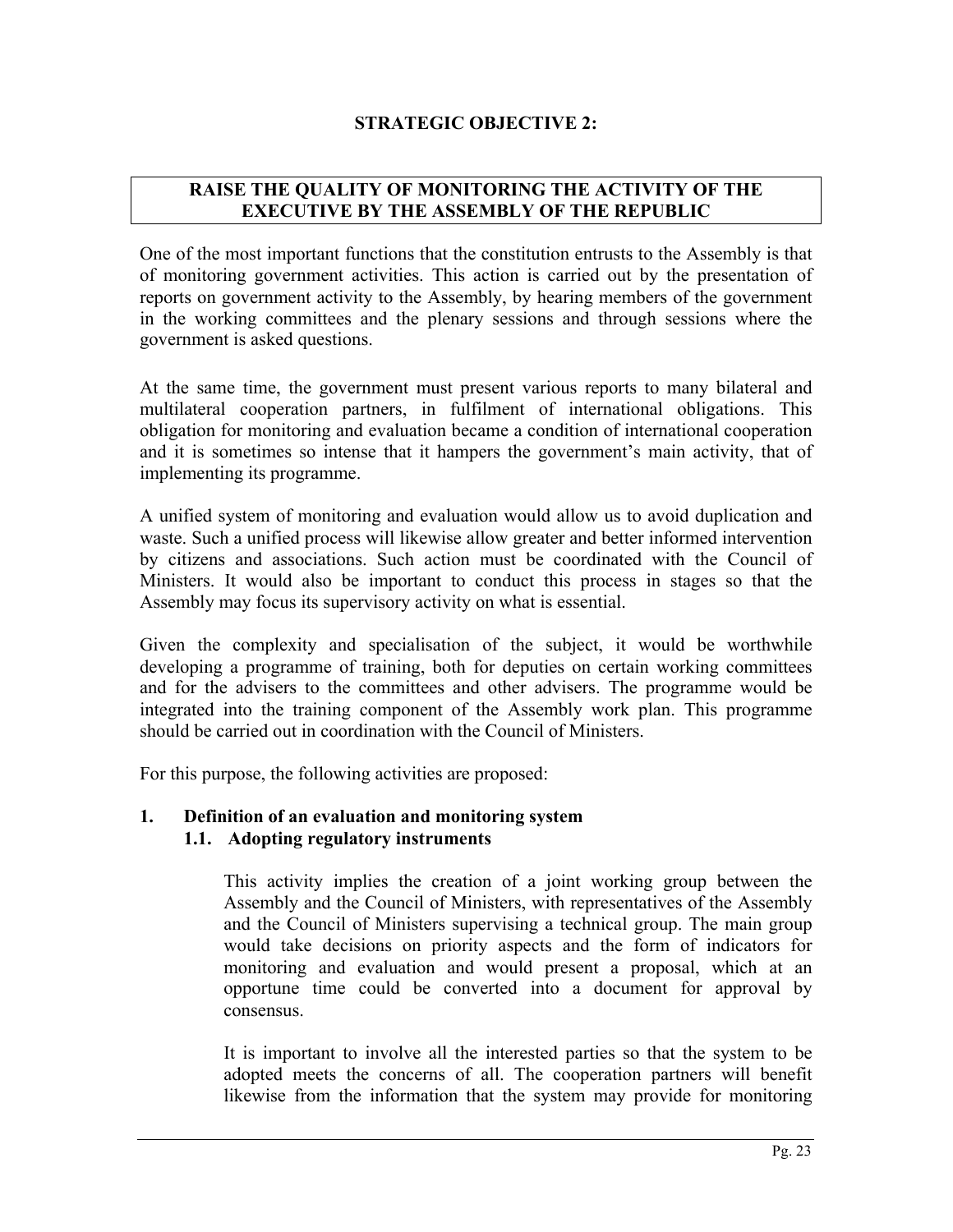# **STRATEGIC OBJECTIVE 2:**

# **RAISE THE QUALITY OF MONITORING THE ACTIVITY OF THE EXECUTIVE BY THE ASSEMBLY OF THE REPUBLIC**

One of the most important functions that the constitution entrusts to the Assembly is that of monitoring government activities. This action is carried out by the presentation of reports on government activity to the Assembly, by hearing members of the government in the working committees and the plenary sessions and through sessions where the government is asked questions.

At the same time, the government must present various reports to many bilateral and multilateral cooperation partners, in fulfilment of international obligations. This obligation for monitoring and evaluation became a condition of international cooperation and it is sometimes so intense that it hampers the government's main activity, that of implementing its programme.

A unified system of monitoring and evaluation would allow us to avoid duplication and waste. Such a unified process will likewise allow greater and better informed intervention by citizens and associations. Such action must be coordinated with the Council of Ministers. It would also be important to conduct this process in stages so that the Assembly may focus its supervisory activity on what is essential.

Given the complexity and specialisation of the subject, it would be worthwhile developing a programme of training, both for deputies on certain working committees and for the advisers to the committees and other advisers. The programme would be integrated into the training component of the Assembly work plan. This programme should be carried out in coordination with the Council of Ministers.

For this purpose, the following activities are proposed:

## **1. Definition of an evaluation and monitoring system 1.1. Adopting regulatory instruments**

This activity implies the creation of a joint working group between the Assembly and the Council of Ministers, with representatives of the Assembly and the Council of Ministers supervising a technical group. The main group would take decisions on priority aspects and the form of indicators for monitoring and evaluation and would present a proposal, which at an opportune time could be converted into a document for approval by consensus.

It is important to involve all the interested parties so that the system to be adopted meets the concerns of all. The cooperation partners will benefit likewise from the information that the system may provide for monitoring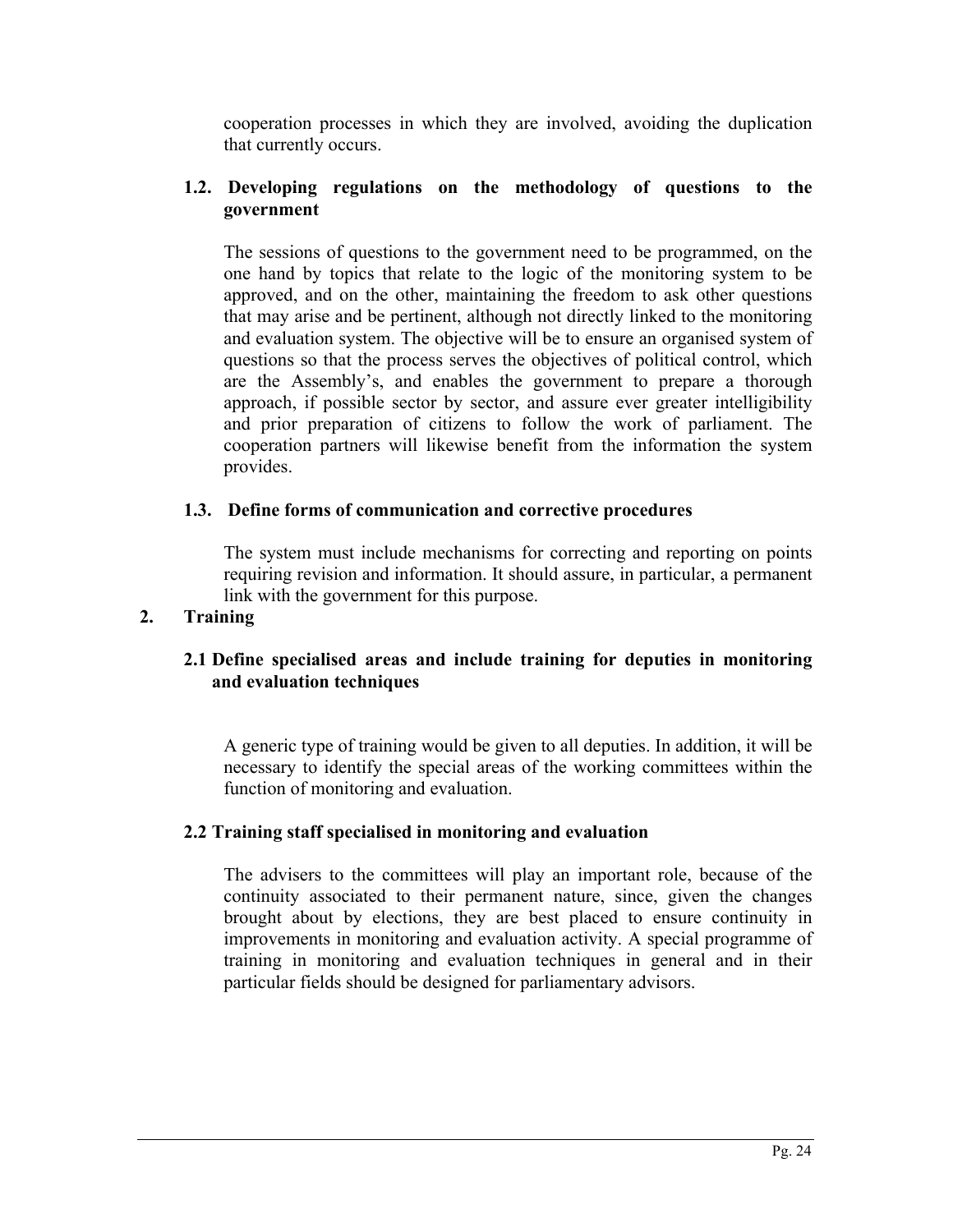cooperation processes in which they are involved, avoiding the duplication that currently occurs.

# **1.2. Developing regulations on the methodology of questions to the government**

The sessions of questions to the government need to be programmed, on the one hand by topics that relate to the logic of the monitoring system to be approved, and on the other, maintaining the freedom to ask other questions that may arise and be pertinent, although not directly linked to the monitoring and evaluation system. The objective will be to ensure an organised system of questions so that the process serves the objectives of political control, which are the Assembly's, and enables the government to prepare a thorough approach, if possible sector by sector, and assure ever greater intelligibility and prior preparation of citizens to follow the work of parliament. The cooperation partners will likewise benefit from the information the system provides.

# **1.3. Define forms of communication and corrective procedures**

The system must include mechanisms for correcting and reporting on points requiring revision and information. It should assure, in particular, a permanent link with the government for this purpose.

# **2. Training**

# **2.1 Define specialised areas and include training for deputies in monitoring and evaluation techniques**

A generic type of training would be given to all deputies. In addition, it will be necessary to identify the special areas of the working committees within the function of monitoring and evaluation.

## **2.2 Training staff specialised in monitoring and evaluation**

The advisers to the committees will play an important role, because of the continuity associated to their permanent nature, since, given the changes brought about by elections, they are best placed to ensure continuity in improvements in monitoring and evaluation activity. A special programme of training in monitoring and evaluation techniques in general and in their particular fields should be designed for parliamentary advisors.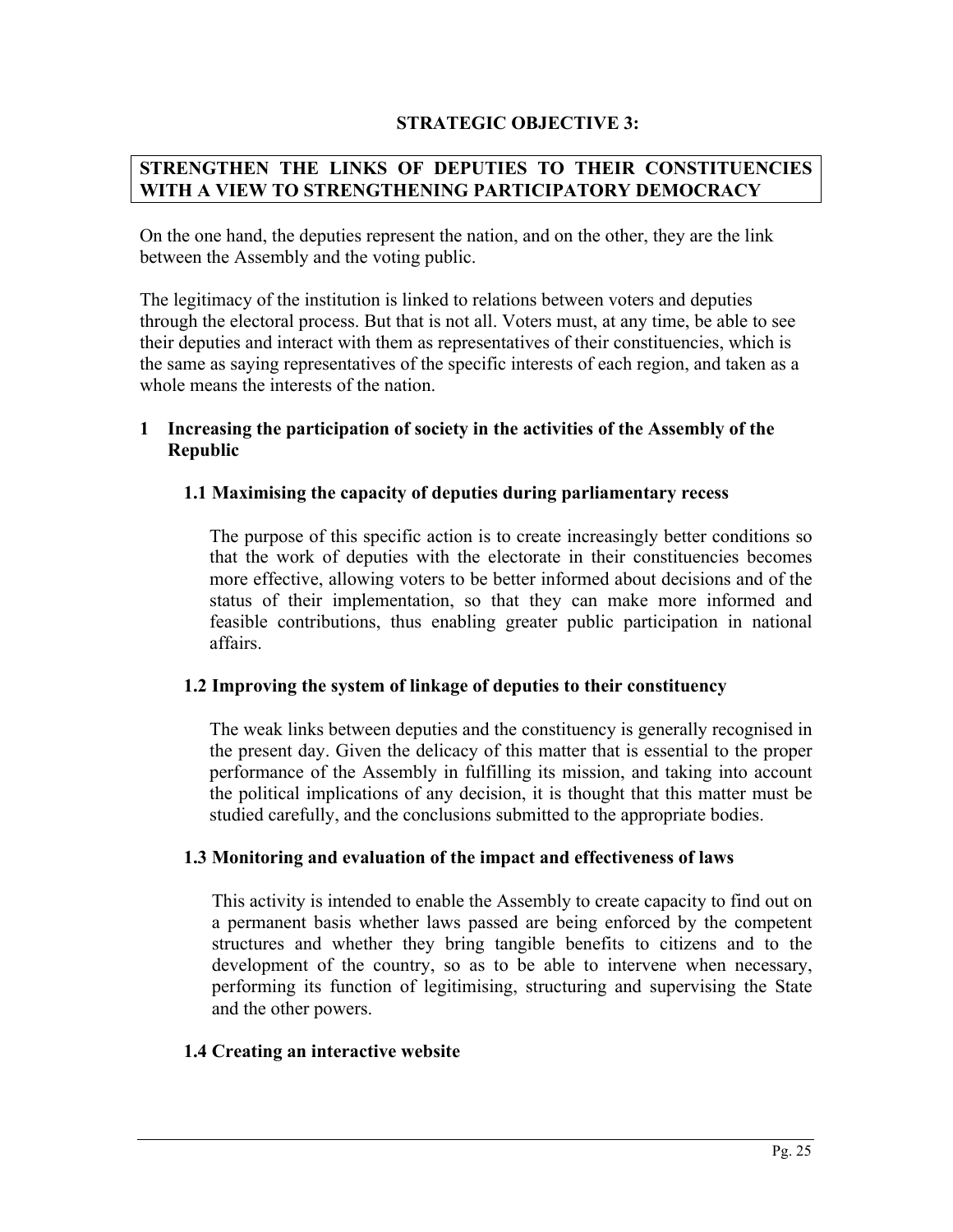## **STRATEGIC OBJECTIVE 3:**

### **STRENGTHEN THE LINKS OF DEPUTIES TO THEIR CONSTITUENCIES WITH A VIEW TO STRENGTHENING PARTICIPATORY DEMOCRACY**

On the one hand, the deputies represent the nation, and on the other, they are the link between the Assembly and the voting public.

The legitimacy of the institution is linked to relations between voters and deputies through the electoral process. But that is not all. Voters must, at any time, be able to see their deputies and interact with them as representatives of their constituencies, which is the same as saying representatives of the specific interests of each region, and taken as a whole means the interests of the nation.

### **1 Increasing the participation of society in the activities of the Assembly of the Republic**

### **1.1 Maximising the capacity of deputies during parliamentary recess**

The purpose of this specific action is to create increasingly better conditions so that the work of deputies with the electorate in their constituencies becomes more effective, allowing voters to be better informed about decisions and of the status of their implementation, so that they can make more informed and feasible contributions, thus enabling greater public participation in national affairs.

#### **1.2 Improving the system of linkage of deputies to their constituency**

The weak links between deputies and the constituency is generally recognised in the present day. Given the delicacy of this matter that is essential to the proper performance of the Assembly in fulfilling its mission, and taking into account the political implications of any decision, it is thought that this matter must be studied carefully, and the conclusions submitted to the appropriate bodies.

#### **1.3 Monitoring and evaluation of the impact and effectiveness of laws**

This activity is intended to enable the Assembly to create capacity to find out on a permanent basis whether laws passed are being enforced by the competent structures and whether they bring tangible benefits to citizens and to the development of the country, so as to be able to intervene when necessary, performing its function of legitimising, structuring and supervising the State and the other powers.

#### **1.4 Creating an interactive website**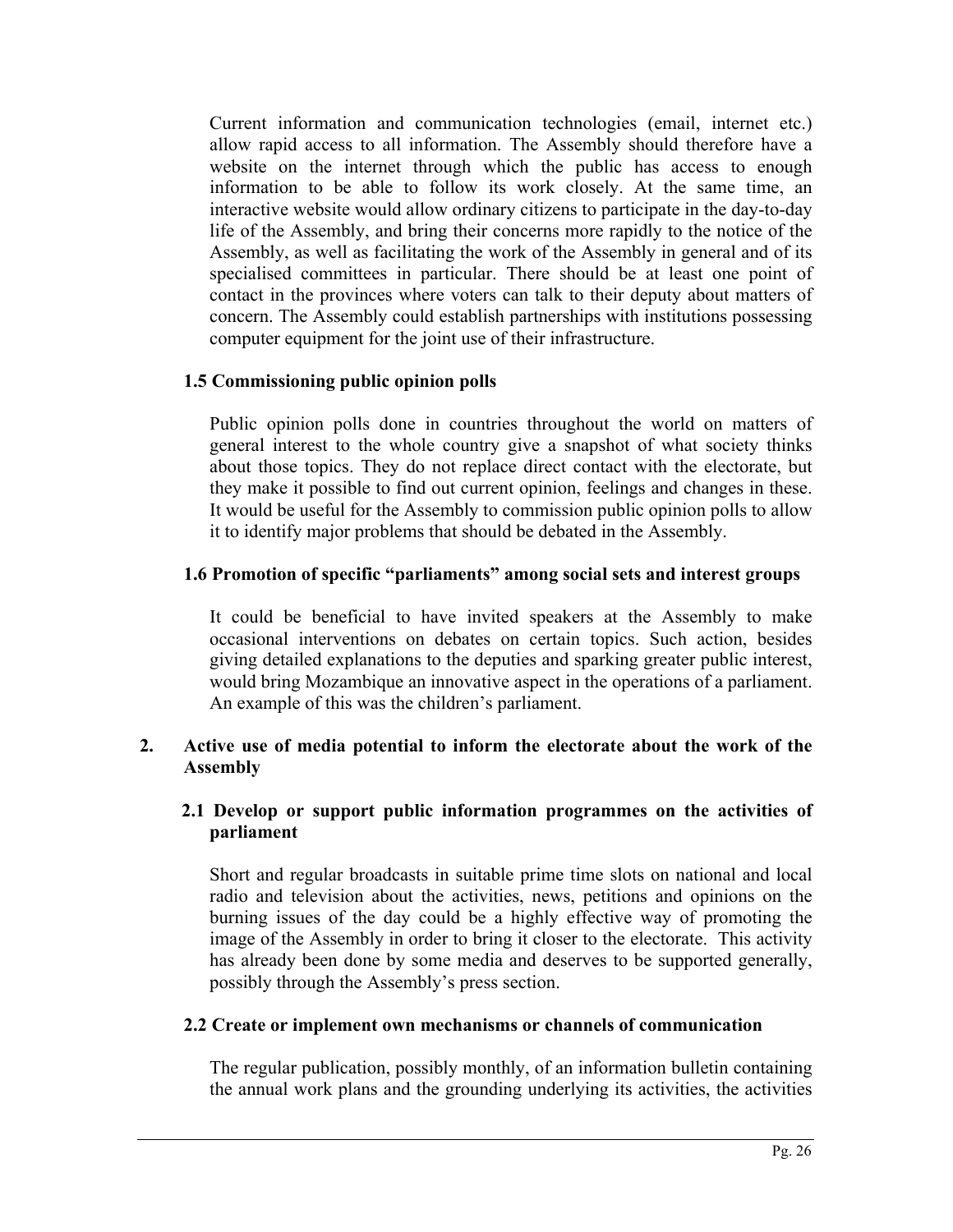Current information and communication technologies (email, internet etc.) allow rapid access to all information. The Assembly should therefore have a website on the internet through which the public has access to enough information to be able to follow its work closely. At the same time, an interactive website would allow ordinary citizens to participate in the day-to-day life of the Assembly, and bring their concerns more rapidly to the notice of the Assembly, as well as facilitating the work of the Assembly in general and of its specialised committees in particular. There should be at least one point of contact in the provinces where voters can talk to their deputy about matters of concern. The Assembly could establish partnerships with institutions possessing computer equipment for the joint use of their infrastructure.

# **1.5 Commissioning public opinion polls**

Public opinion polls done in countries throughout the world on matters of general interest to the whole country give a snapshot of what society thinks about those topics. They do not replace direct contact with the electorate, but they make it possible to find out current opinion, feelings and changes in these. It would be useful for the Assembly to commission public opinion polls to allow it to identify major problems that should be debated in the Assembly.

## **1.6 Promotion of specific "parliaments" among social sets and interest groups**

It could be beneficial to have invited speakers at the Assembly to make occasional interventions on debates on certain topics. Such action, besides giving detailed explanations to the deputies and sparking greater public interest, would bring Mozambique an innovative aspect in the operations of a parliament. An example of this was the children's parliament.

## **2. Active use of media potential to inform the electorate about the work of the Assembly**

## **2.1 Develop or support public information programmes on the activities of parliament**

Short and regular broadcasts in suitable prime time slots on national and local radio and television about the activities, news, petitions and opinions on the burning issues of the day could be a highly effective way of promoting the image of the Assembly in order to bring it closer to the electorate. This activity has already been done by some media and deserves to be supported generally, possibly through the Assembly's press section.

## **2.2 Create or implement own mechanisms or channels of communication**

The regular publication, possibly monthly, of an information bulletin containing the annual work plans and the grounding underlying its activities, the activities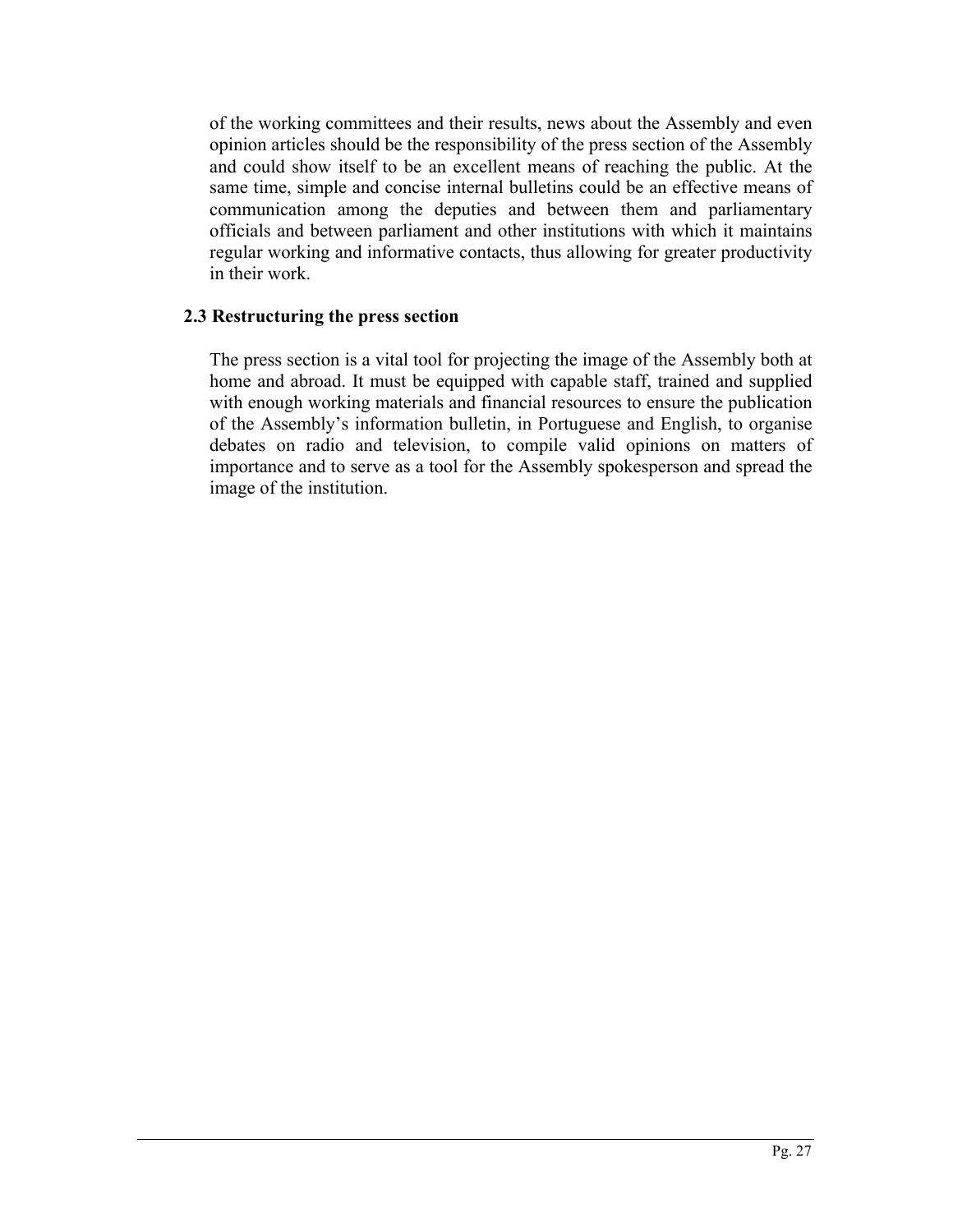of the working committees and their results, news about the Assembly and even opinion articles should be the responsibility of the press section of the Assembly and could show itself to be an excellent means of reaching the public. At the same time, simple and concise internal bulletins could be an effective means of communication among the deputies and between them and parliamentary officials and between parliament and other institutions with which it maintains regular working and informative contacts, thus allowing for greater productivity in their work.

## **2.3 Restructuring the press section**

The press section is a vital tool for projecting the image of the Assembly both at home and abroad. It must be equipped with capable staff, trained and supplied with enough working materials and financial resources to ensure the publication of the Assembly's information bulletin, in Portuguese and English, to organise debates on radio and television, to compile valid opinions on matters of importance and to serve as a tool for the Assembly spokesperson and spread the image of the institution.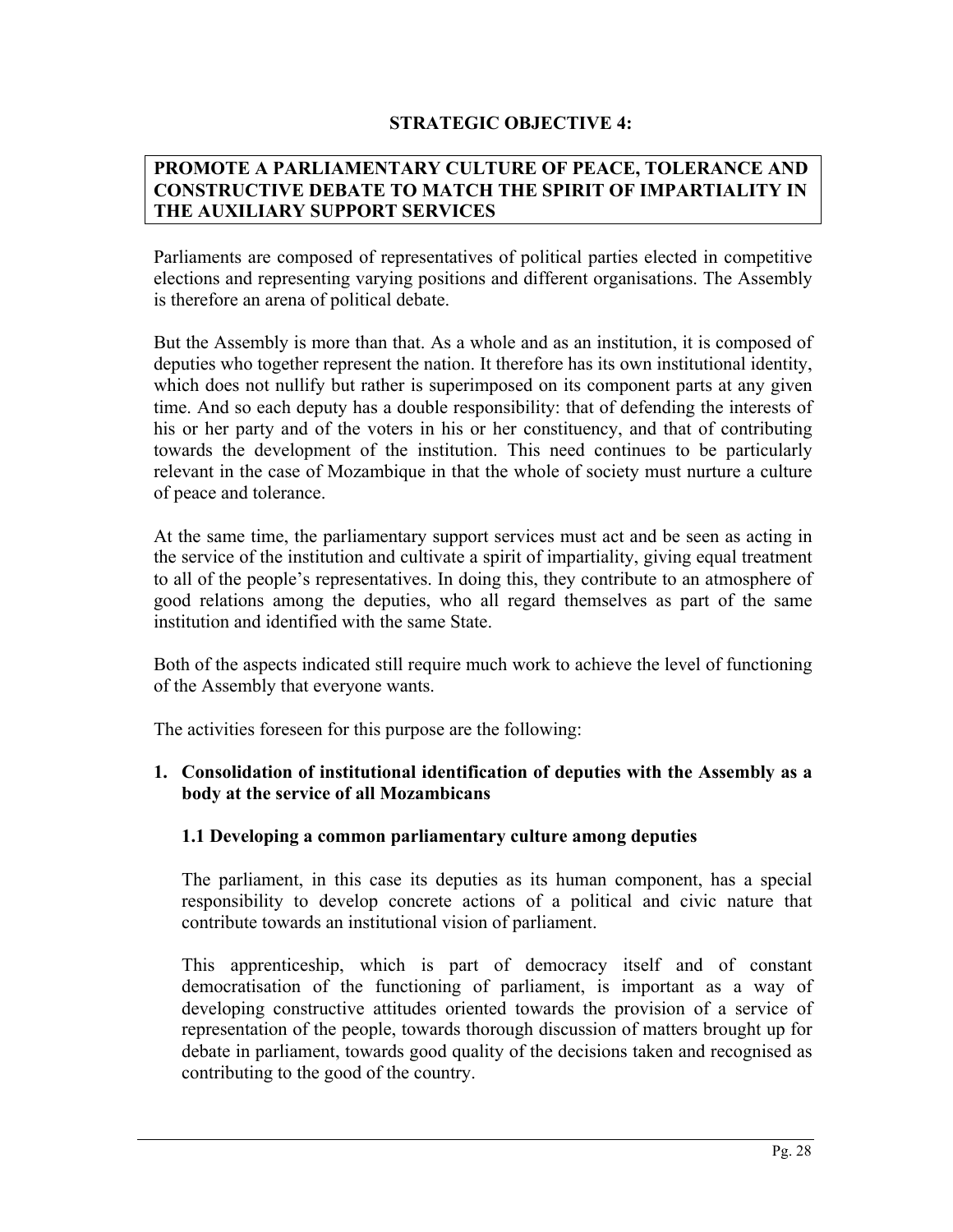## **STRATEGIC OBJECTIVE 4:**

## **PROMOTE A PARLIAMENTARY CULTURE OF PEACE, TOLERANCE AND CONSTRUCTIVE DEBATE TO MATCH THE SPIRIT OF IMPARTIALITY IN THE AUXILIARY SUPPORT SERVICES**

Parliaments are composed of representatives of political parties elected in competitive elections and representing varying positions and different organisations. The Assembly is therefore an arena of political debate.

But the Assembly is more than that. As a whole and as an institution, it is composed of deputies who together represent the nation. It therefore has its own institutional identity, which does not nullify but rather is superimposed on its component parts at any given time. And so each deputy has a double responsibility: that of defending the interests of his or her party and of the voters in his or her constituency, and that of contributing towards the development of the institution. This need continues to be particularly relevant in the case of Mozambique in that the whole of society must nurture a culture of peace and tolerance.

At the same time, the parliamentary support services must act and be seen as acting in the service of the institution and cultivate a spirit of impartiality, giving equal treatment to all of the people's representatives. In doing this, they contribute to an atmosphere of good relations among the deputies, who all regard themselves as part of the same institution and identified with the same State.

Both of the aspects indicated still require much work to achieve the level of functioning of the Assembly that everyone wants.

The activities foreseen for this purpose are the following:

## **1. Consolidation of institutional identification of deputies with the Assembly as a body at the service of all Mozambicans**

## **1.1 Developing a common parliamentary culture among deputies**

The parliament, in this case its deputies as its human component, has a special responsibility to develop concrete actions of a political and civic nature that contribute towards an institutional vision of parliament.

This apprenticeship, which is part of democracy itself and of constant democratisation of the functioning of parliament, is important as a way of developing constructive attitudes oriented towards the provision of a service of representation of the people, towards thorough discussion of matters brought up for debate in parliament, towards good quality of the decisions taken and recognised as contributing to the good of the country.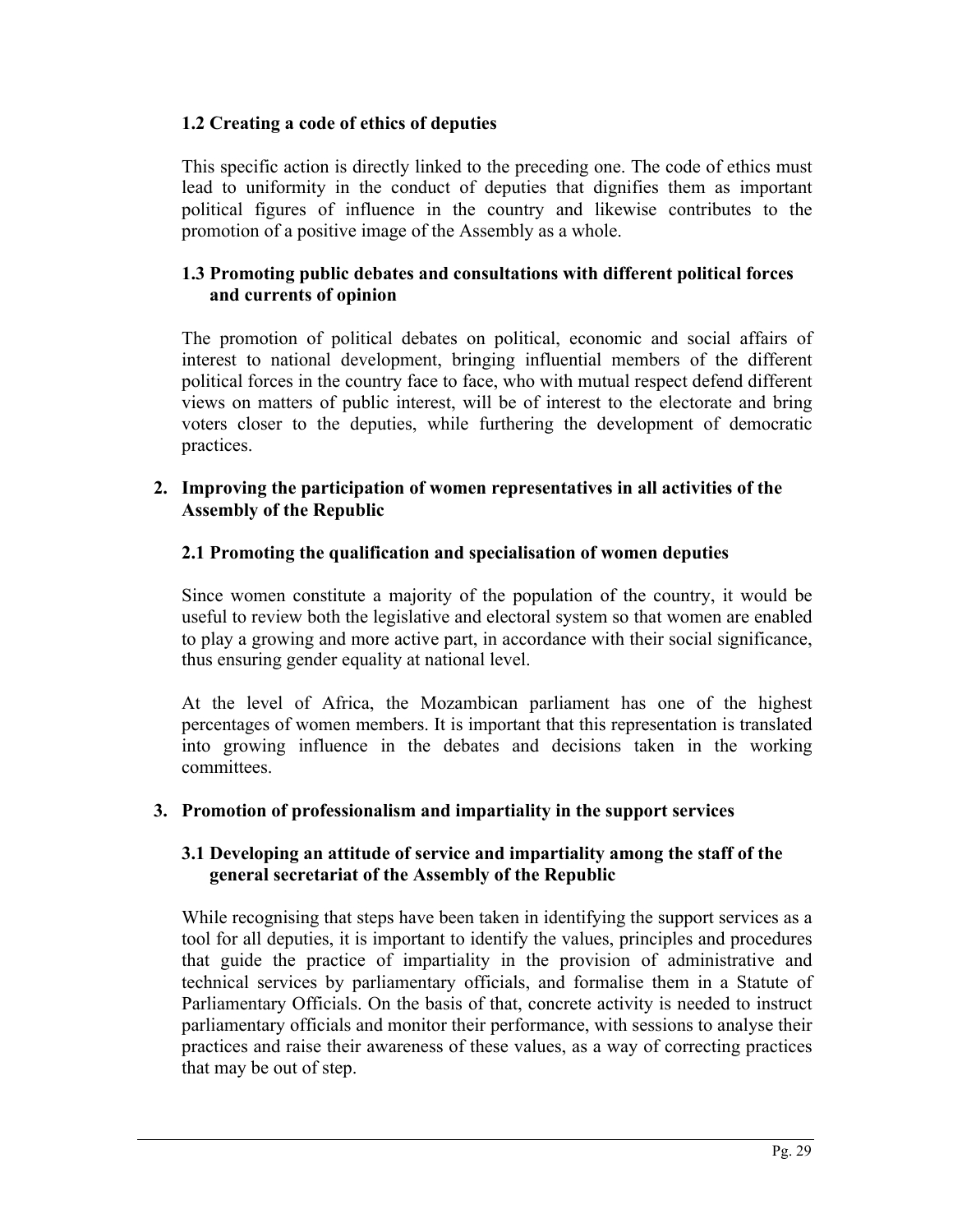# **1.2 Creating a code of ethics of deputies**

This specific action is directly linked to the preceding one. The code of ethics must lead to uniformity in the conduct of deputies that dignifies them as important political figures of influence in the country and likewise contributes to the promotion of a positive image of the Assembly as a whole.

# **1.3 Promoting public debates and consultations with different political forces and currents of opinion**

The promotion of political debates on political, economic and social affairs of interest to national development, bringing influential members of the different political forces in the country face to face, who with mutual respect defend different views on matters of public interest, will be of interest to the electorate and bring voters closer to the deputies, while furthering the development of democratic practices.

### **2. Improving the participation of women representatives in all activities of the Assembly of the Republic**

# **2.1 Promoting the qualification and specialisation of women deputies**

Since women constitute a majority of the population of the country, it would be useful to review both the legislative and electoral system so that women are enabled to play a growing and more active part, in accordance with their social significance, thus ensuring gender equality at national level.

At the level of Africa, the Mozambican parliament has one of the highest percentages of women members. It is important that this representation is translated into growing influence in the debates and decisions taken in the working committees.

# **3. Promotion of professionalism and impartiality in the support services**

## **3.1 Developing an attitude of service and impartiality among the staff of the general secretariat of the Assembly of the Republic**

While recognising that steps have been taken in identifying the support services as a tool for all deputies, it is important to identify the values, principles and procedures that guide the practice of impartiality in the provision of administrative and technical services by parliamentary officials, and formalise them in a Statute of Parliamentary Officials. On the basis of that, concrete activity is needed to instruct parliamentary officials and monitor their performance, with sessions to analyse their practices and raise their awareness of these values, as a way of correcting practices that may be out of step.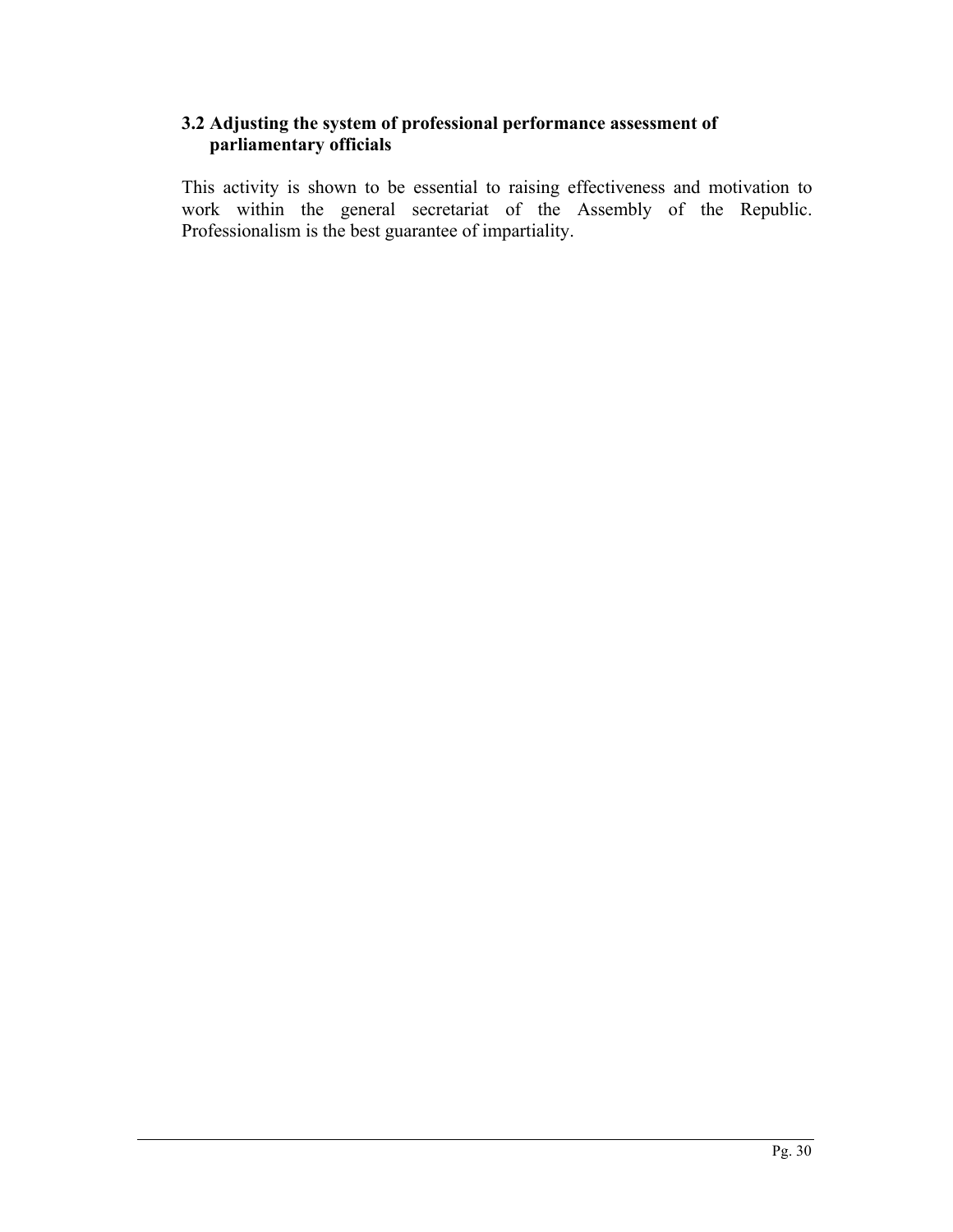## **3.2 Adjusting the system of professional performance assessment of parliamentary officials**

This activity is shown to be essential to raising effectiveness and motivation to work within the general secretariat of the Assembly of the Republic. Professionalism is the best guarantee of impartiality.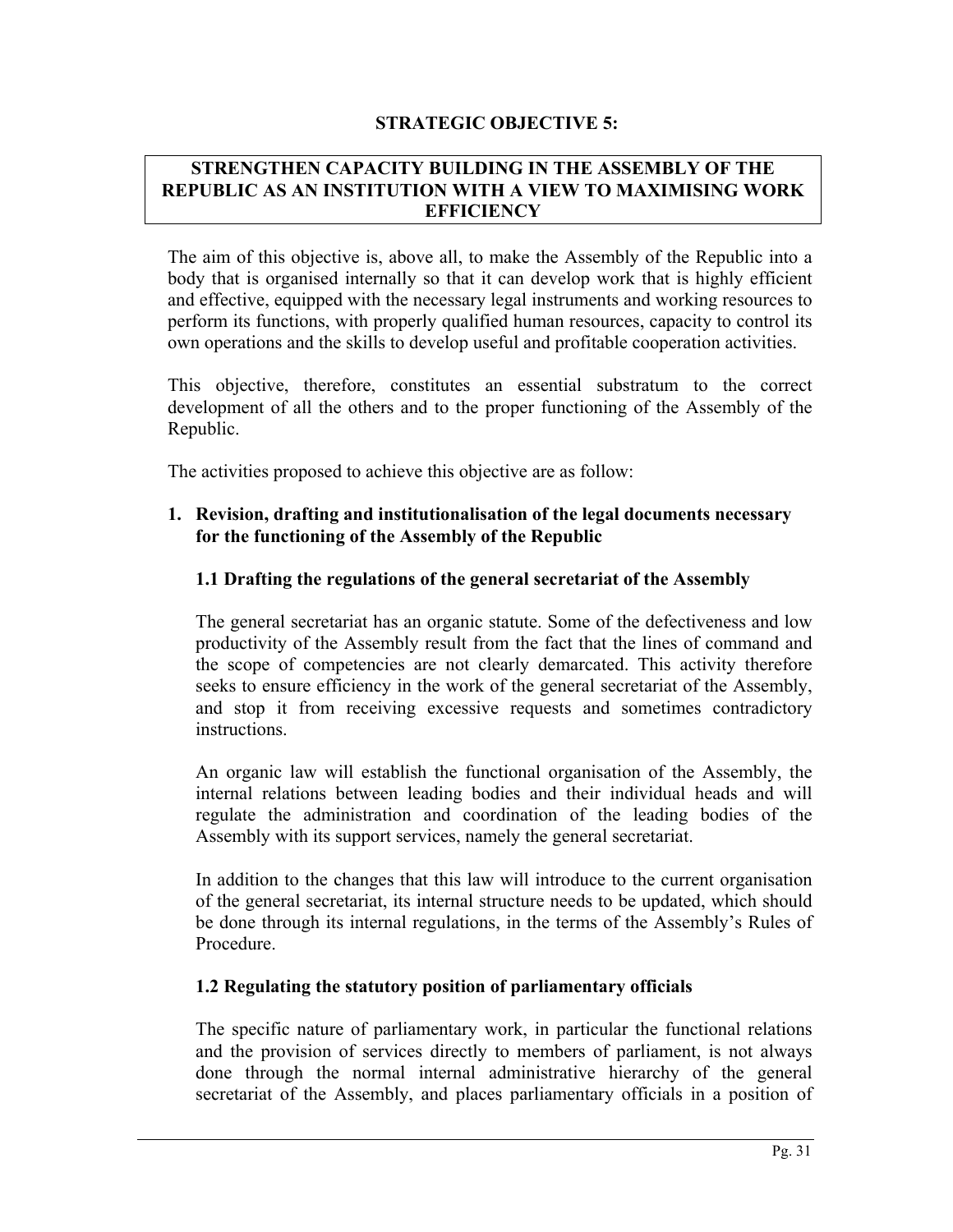### **STRATEGIC OBJECTIVE 5:**

#### **STRENGTHEN CAPACITY BUILDING IN THE ASSEMBLY OF THE REPUBLIC AS AN INSTITUTION WITH A VIEW TO MAXIMISING WORK EFFICIENCY**

The aim of this objective is, above all, to make the Assembly of the Republic into a body that is organised internally so that it can develop work that is highly efficient and effective, equipped with the necessary legal instruments and working resources to perform its functions, with properly qualified human resources, capacity to control its own operations and the skills to develop useful and profitable cooperation activities.

This objective, therefore, constitutes an essential substratum to the correct development of all the others and to the proper functioning of the Assembly of the Republic.

The activities proposed to achieve this objective are as follow:

### **1. Revision, drafting and institutionalisation of the legal documents necessary for the functioning of the Assembly of the Republic**

### **1.1 Drafting the regulations of the general secretariat of the Assembly**

The general secretariat has an organic statute. Some of the defectiveness and low productivity of the Assembly result from the fact that the lines of command and the scope of competencies are not clearly demarcated. This activity therefore seeks to ensure efficiency in the work of the general secretariat of the Assembly, and stop it from receiving excessive requests and sometimes contradictory instructions.

An organic law will establish the functional organisation of the Assembly, the internal relations between leading bodies and their individual heads and will regulate the administration and coordination of the leading bodies of the Assembly with its support services, namely the general secretariat.

In addition to the changes that this law will introduce to the current organisation of the general secretariat, its internal structure needs to be updated, which should be done through its internal regulations, in the terms of the Assembly's Rules of Procedure.

#### **1.2 Regulating the statutory position of parliamentary officials**

The specific nature of parliamentary work, in particular the functional relations and the provision of services directly to members of parliament, is not always done through the normal internal administrative hierarchy of the general secretariat of the Assembly, and places parliamentary officials in a position of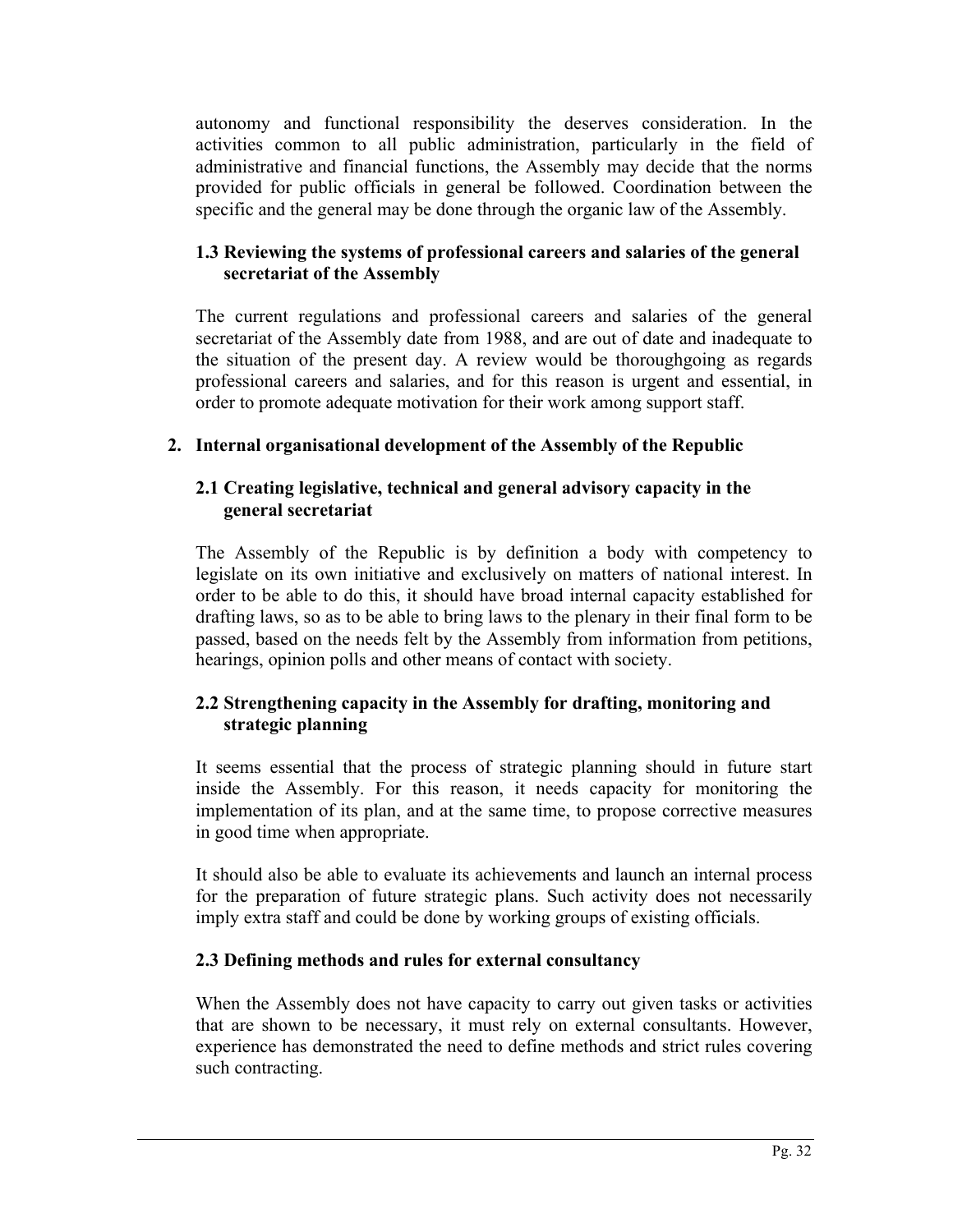autonomy and functional responsibility the deserves consideration. In the activities common to all public administration, particularly in the field of administrative and financial functions, the Assembly may decide that the norms provided for public officials in general be followed. Coordination between the specific and the general may be done through the organic law of the Assembly.

# **1.3 Reviewing the systems of professional careers and salaries of the general secretariat of the Assembly**

The current regulations and professional careers and salaries of the general secretariat of the Assembly date from 1988, and are out of date and inadequate to the situation of the present day. A review would be thoroughgoing as regards professional careers and salaries, and for this reason is urgent and essential, in order to promote adequate motivation for their work among support staff.

# **2. Internal organisational development of the Assembly of the Republic**

## **2.1 Creating legislative, technical and general advisory capacity in the general secretariat**

The Assembly of the Republic is by definition a body with competency to legislate on its own initiative and exclusively on matters of national interest. In order to be able to do this, it should have broad internal capacity established for drafting laws, so as to be able to bring laws to the plenary in their final form to be passed, based on the needs felt by the Assembly from information from petitions, hearings, opinion polls and other means of contact with society.

# **2.2 Strengthening capacity in the Assembly for drafting, monitoring and strategic planning**

It seems essential that the process of strategic planning should in future start inside the Assembly. For this reason, it needs capacity for monitoring the implementation of its plan, and at the same time, to propose corrective measures in good time when appropriate.

It should also be able to evaluate its achievements and launch an internal process for the preparation of future strategic plans. Such activity does not necessarily imply extra staff and could be done by working groups of existing officials.

# **2.3 Defining methods and rules for external consultancy**

When the Assembly does not have capacity to carry out given tasks or activities that are shown to be necessary, it must rely on external consultants. However, experience has demonstrated the need to define methods and strict rules covering such contracting.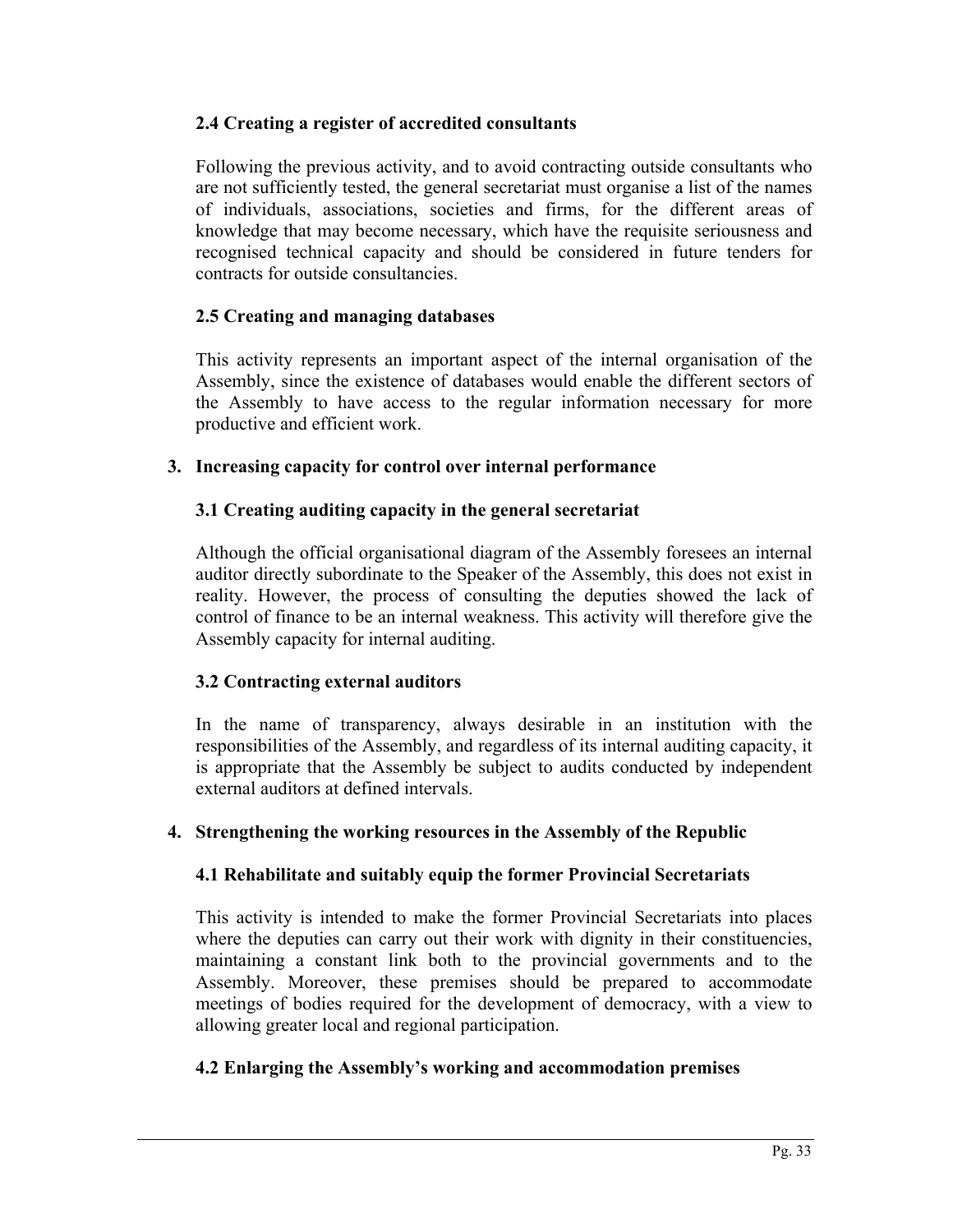# **2.4 Creating a register of accredited consultants**

Following the previous activity, and to avoid contracting outside consultants who are not sufficiently tested, the general secretariat must organise a list of the names of individuals, associations, societies and firms, for the different areas of knowledge that may become necessary, which have the requisite seriousness and recognised technical capacity and should be considered in future tenders for contracts for outside consultancies.

# **2.5 Creating and managing databases**

This activity represents an important aspect of the internal organisation of the Assembly, since the existence of databases would enable the different sectors of the Assembly to have access to the regular information necessary for more productive and efficient work.

## **3. Increasing capacity for control over internal performance**

# **3.1 Creating auditing capacity in the general secretariat**

Although the official organisational diagram of the Assembly foresees an internal auditor directly subordinate to the Speaker of the Assembly, this does not exist in reality. However, the process of consulting the deputies showed the lack of control of finance to be an internal weakness. This activity will therefore give the Assembly capacity for internal auditing.

## **3.2 Contracting external auditors**

In the name of transparency, always desirable in an institution with the responsibilities of the Assembly, and regardless of its internal auditing capacity, it is appropriate that the Assembly be subject to audits conducted by independent external auditors at defined intervals.

## **4. Strengthening the working resources in the Assembly of the Republic**

## **4.1 Rehabilitate and suitably equip the former Provincial Secretariats**

This activity is intended to make the former Provincial Secretariats into places where the deputies can carry out their work with dignity in their constituencies, maintaining a constant link both to the provincial governments and to the Assembly. Moreover, these premises should be prepared to accommodate meetings of bodies required for the development of democracy, with a view to allowing greater local and regional participation.

# **4.2 Enlarging the Assembly's working and accommodation premises**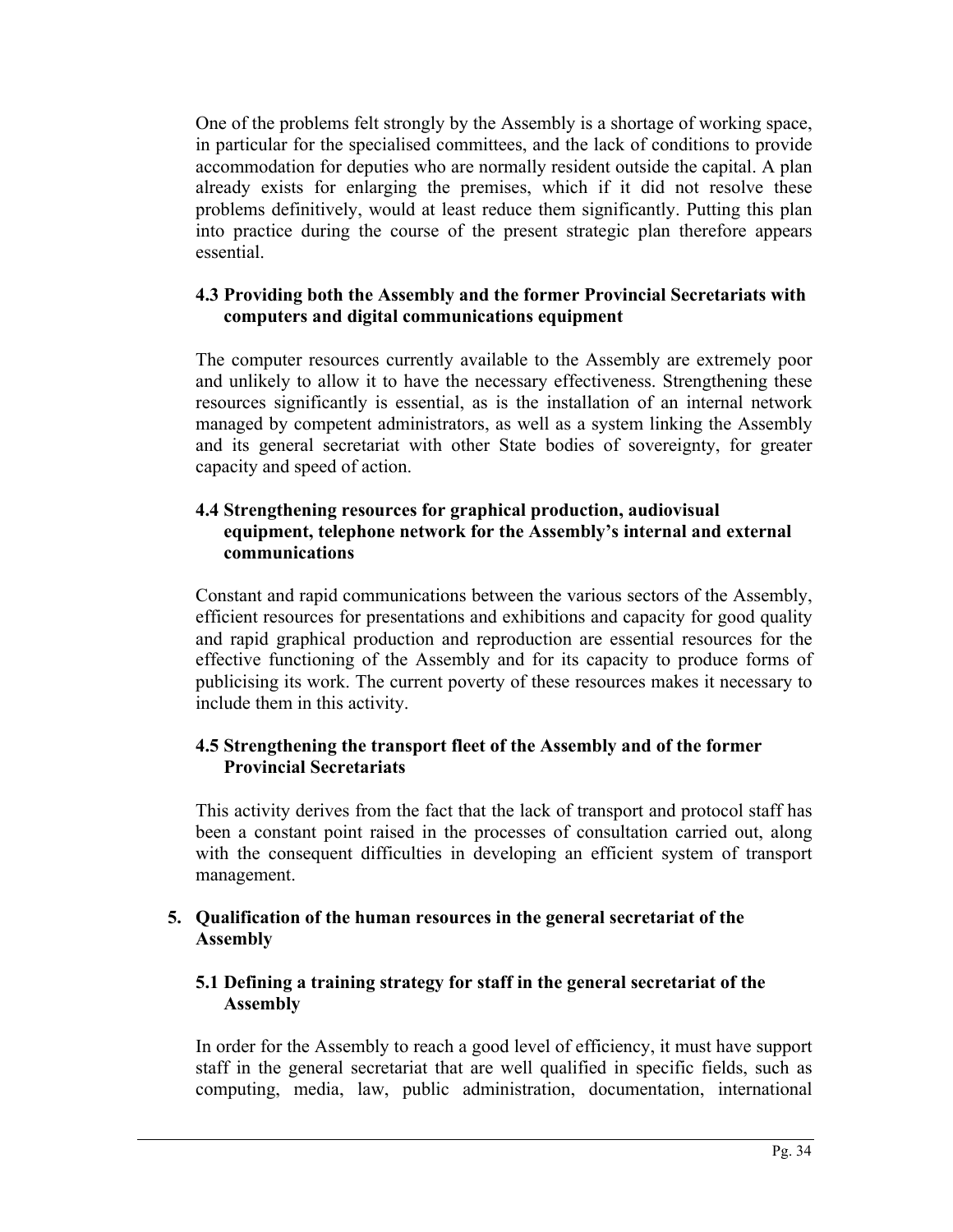One of the problems felt strongly by the Assembly is a shortage of working space, in particular for the specialised committees, and the lack of conditions to provide accommodation for deputies who are normally resident outside the capital. A plan already exists for enlarging the premises, which if it did not resolve these problems definitively, would at least reduce them significantly. Putting this plan into practice during the course of the present strategic plan therefore appears essential.

## **4.3 Providing both the Assembly and the former Provincial Secretariats with computers and digital communications equipment**

The computer resources currently available to the Assembly are extremely poor and unlikely to allow it to have the necessary effectiveness. Strengthening these resources significantly is essential, as is the installation of an internal network managed by competent administrators, as well as a system linking the Assembly and its general secretariat with other State bodies of sovereignty, for greater capacity and speed of action.

## **4.4 Strengthening resources for graphical production, audiovisual equipment, telephone network for the Assembly's internal and external communications**

Constant and rapid communications between the various sectors of the Assembly, efficient resources for presentations and exhibitions and capacity for good quality and rapid graphical production and reproduction are essential resources for the effective functioning of the Assembly and for its capacity to produce forms of publicising its work. The current poverty of these resources makes it necessary to include them in this activity.

# **4.5 Strengthening the transport fleet of the Assembly and of the former Provincial Secretariats**

This activity derives from the fact that the lack of transport and protocol staff has been a constant point raised in the processes of consultation carried out, along with the consequent difficulties in developing an efficient system of transport management.

# **5. Qualification of the human resources in the general secretariat of the Assembly**

## **5.1 Defining a training strategy for staff in the general secretariat of the Assembly**

In order for the Assembly to reach a good level of efficiency, it must have support staff in the general secretariat that are well qualified in specific fields, such as computing, media, law, public administration, documentation, international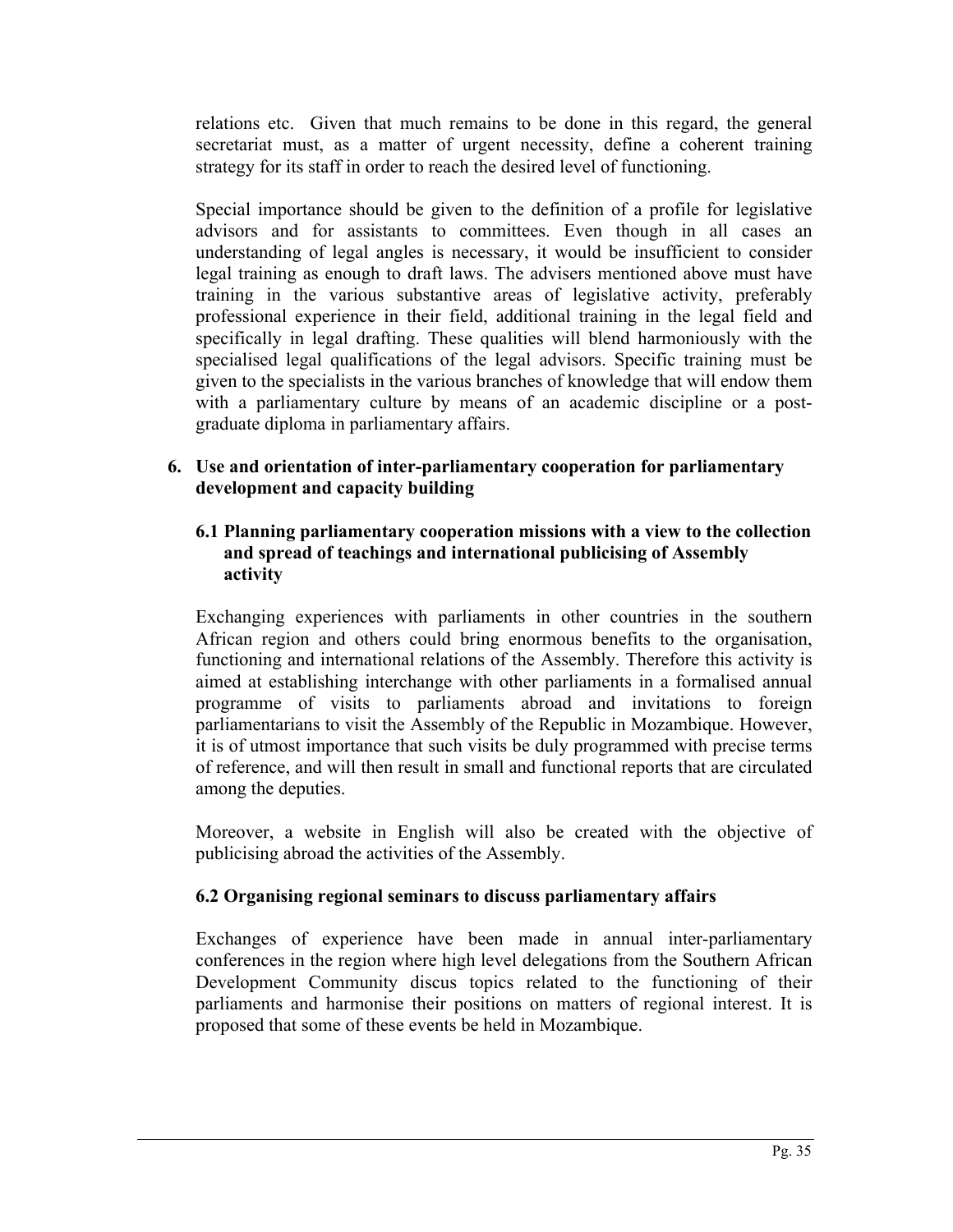relations etc. Given that much remains to be done in this regard, the general secretariat must, as a matter of urgent necessity, define a coherent training strategy for its staff in order to reach the desired level of functioning.

Special importance should be given to the definition of a profile for legislative advisors and for assistants to committees. Even though in all cases an understanding of legal angles is necessary, it would be insufficient to consider legal training as enough to draft laws. The advisers mentioned above must have training in the various substantive areas of legislative activity, preferably professional experience in their field, additional training in the legal field and specifically in legal drafting. These qualities will blend harmoniously with the specialised legal qualifications of the legal advisors. Specific training must be given to the specialists in the various branches of knowledge that will endow them with a parliamentary culture by means of an academic discipline or a postgraduate diploma in parliamentary affairs.

# **6. Use and orientation of inter-parliamentary cooperation for parliamentary development and capacity building**

## **6.1 Planning parliamentary cooperation missions with a view to the collection and spread of teachings and international publicising of Assembly activity**

Exchanging experiences with parliaments in other countries in the southern African region and others could bring enormous benefits to the organisation, functioning and international relations of the Assembly. Therefore this activity is aimed at establishing interchange with other parliaments in a formalised annual programme of visits to parliaments abroad and invitations to foreign parliamentarians to visit the Assembly of the Republic in Mozambique. However, it is of utmost importance that such visits be duly programmed with precise terms of reference, and will then result in small and functional reports that are circulated among the deputies.

Moreover, a website in English will also be created with the objective of publicising abroad the activities of the Assembly.

# **6.2 Organising regional seminars to discuss parliamentary affairs**

Exchanges of experience have been made in annual inter-parliamentary conferences in the region where high level delegations from the Southern African Development Community discus topics related to the functioning of their parliaments and harmonise their positions on matters of regional interest. It is proposed that some of these events be held in Mozambique.